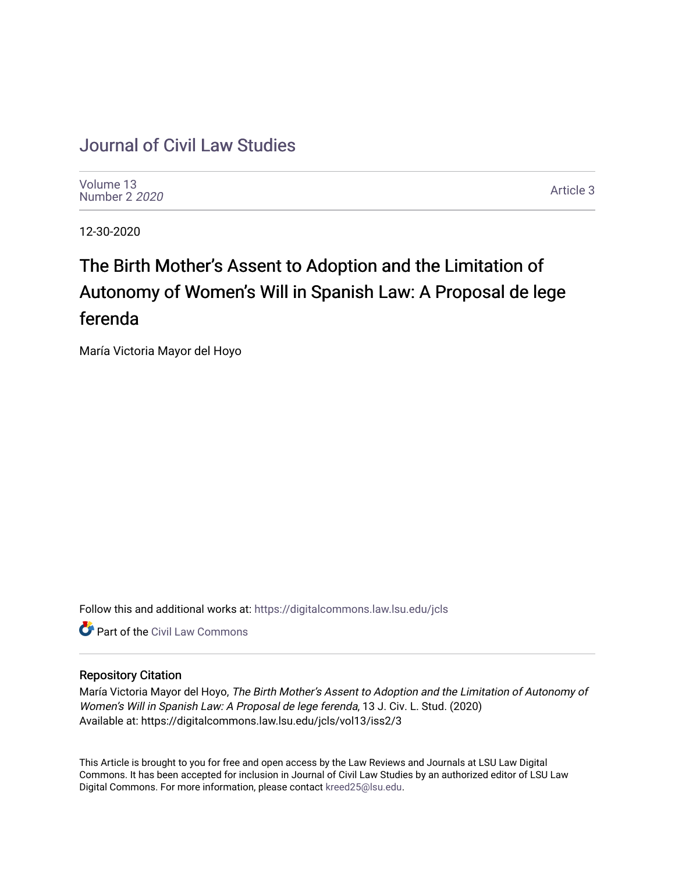# [Journal of Civil Law Studies](https://digitalcommons.law.lsu.edu/jcls)

[Volume 13](https://digitalcommons.law.lsu.edu/jcls/vol13) [Number 2](https://digitalcommons.law.lsu.edu/jcls/vol13/iss2) 2020

[Article 3](https://digitalcommons.law.lsu.edu/jcls/vol13/iss2/3) 

12-30-2020

# The Birth Mother's Assent to Adoption and the Limitation of Autonomy of Women's Will in Spanish Law: A Proposal de lege ferenda

María Victoria Mayor del Hoyo

Follow this and additional works at: [https://digitalcommons.law.lsu.edu/jcls](https://digitalcommons.law.lsu.edu/jcls?utm_source=digitalcommons.law.lsu.edu%2Fjcls%2Fvol13%2Fiss2%2F3&utm_medium=PDF&utm_campaign=PDFCoverPages) 

**C** Part of the [Civil Law Commons](http://network.bepress.com/hgg/discipline/835?utm_source=digitalcommons.law.lsu.edu%2Fjcls%2Fvol13%2Fiss2%2F3&utm_medium=PDF&utm_campaign=PDFCoverPages)

# Repository Citation

María Victoria Mayor del Hoyo, The Birth Mother's Assent to Adoption and the Limitation of Autonomy of Women's Will in Spanish Law: A Proposal de lege ferenda, 13 J. Civ. L. Stud. (2020) Available at: https://digitalcommons.law.lsu.edu/jcls/vol13/iss2/3

This Article is brought to you for free and open access by the Law Reviews and Journals at LSU Law Digital Commons. It has been accepted for inclusion in Journal of Civil Law Studies by an authorized editor of LSU Law Digital Commons. For more information, please contact [kreed25@lsu.edu.](mailto:kreed25@lsu.edu)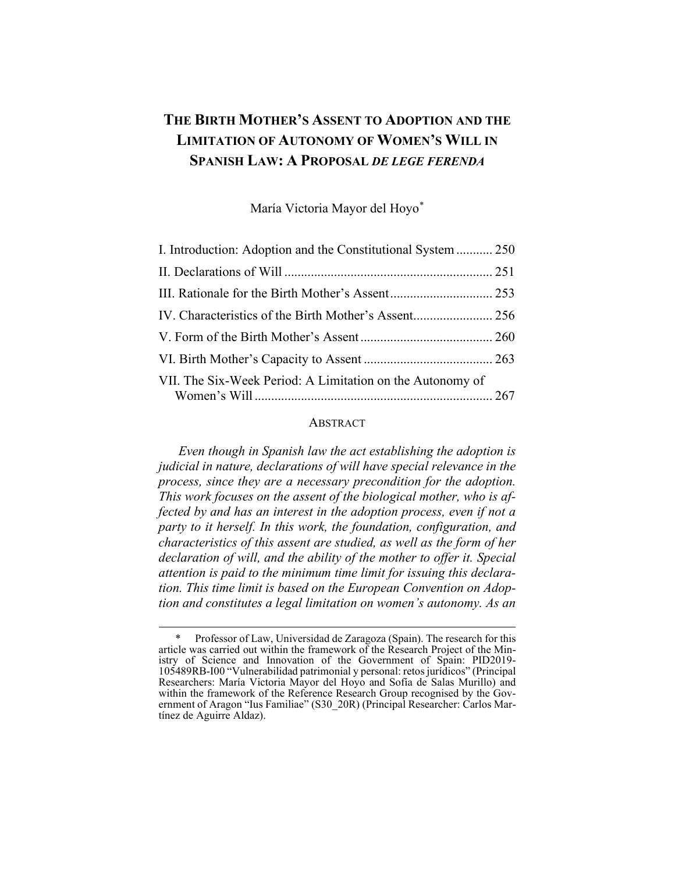# **THE BIRTH MOTHER'S ASSENT TO ADOPTION AND THE LIMITATION OF AUTONOMY OF WOMEN'S WILL IN SPANISH LAW: A PROPOSAL** *DE LEGE FERENDA*

María Victoria Mayor del Hoyo[\\*](#page-1-0)

| I. Introduction: Adoption and the Constitutional System  250 |  |
|--------------------------------------------------------------|--|
|                                                              |  |
|                                                              |  |
|                                                              |  |
|                                                              |  |
|                                                              |  |
| VII. The Six-Week Period: A Limitation on the Autonomy of    |  |

#### **ABSTRACT**

*Even though in Spanish law the act establishing the adoption is judicial in nature, declarations of will have special relevance in the process, since they are a necessary precondition for the adoption. This work focuses on the assent of the biological mother, who is affected by and has an interest in the adoption process, even if not a party to it herself. In this work, the foundation, configuration, and characteristics of this assent are studied, as well as the form of her declaration of will, and the ability of the mother to offer it. Special attention is paid to the minimum time limit for issuing this declaration. This time limit is based on the European Convention on Adoption and constitutes a legal limitation on women's autonomy. As an* 

<span id="page-1-0"></span>Professor of Law, Universidad de Zaragoza (Spain). The research for this article was carried out within the framework of the Research Project of the Ministry of Science and Innovation of the Government of Spain: PID2019- 105489RB-I00 "Vulnerabilidad patrimonial y personal: retos jurídicos" (Principal Researchers: María Victoria Mayor del Hoyo and Sofía de Salas Murillo) and within the framework of the Reference Research Group recognised by the Government of Aragon "Ius Familiae" (S30\_20R) (Principal Researcher: Carlos Martínez de Aguirre Aldaz).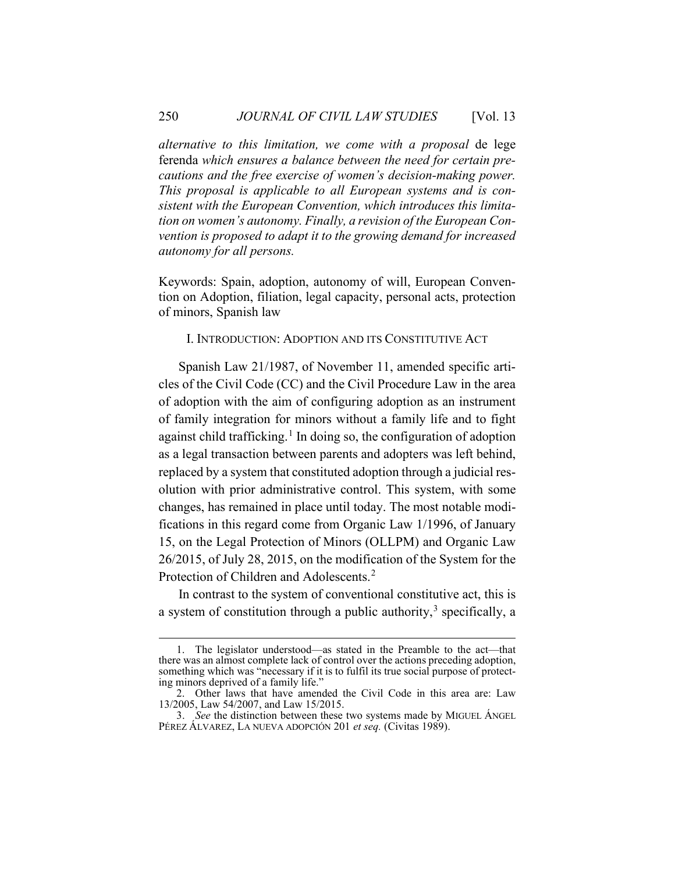*alternative to this limitation, we come with a proposal* de lege ferenda *which ensures a balance between the need for certain precautions and the free exercise of women's decision-making power. This proposal is applicable to all European systems and is consistent with the European Convention, which introduces this limitation on women's autonomy. Finally, a revision of the European Convention is proposed to adapt it to the growing demand for increased autonomy for all persons.*

Keywords: Spain, adoption, autonomy of will, European Convention on Adoption, filiation, legal capacity, personal acts, protection of minors, Spanish law

## <span id="page-2-0"></span>I. INTRODUCTION: ADOPTION AND ITS CONSTITUTIVE ACT

Spanish Law 21/1987, of November 11, amended specific articles of the Civil Code (CC) and the Civil Procedure Law in the area of adoption with the aim of configuring adoption as an instrument of family integration for minors without a family life and to fight against child trafficking. [1](#page-2-1) In doing so, the configuration of adoption as a legal transaction between parents and adopters was left behind, replaced by a system that constituted adoption through a judicial resolution with prior administrative control. This system, with some changes, has remained in place until today. The most notable modifications in this regard come from Organic Law 1/1996, of January 15, on the Legal Protection of Minors (OLLPM) and Organic Law 26/2015, of July 28, 2015, on the modification of the System for the Protection of Children and Adolescents.<sup>[2](#page-2-2)</sup>

<span id="page-2-5"></span><span id="page-2-4"></span>In contrast to the system of conventional constitutive act, this is a system of constitution through a public authority, $3$  specifically, a

<span id="page-2-1"></span><sup>1.</sup> The legislator understood—as stated in the Preamble to the act—that there was an almost complete lack of control over the actions preceding adoption, something which was "necessary if it is to fulfil its true social purpose of protecting minors deprived of a family life."

<span id="page-2-2"></span><sup>2.</sup> Other laws that have amended the Civil Code in this area are: Law 13/2005, Law 54/2007, and Law 15/2015.

<span id="page-2-3"></span><sup>3.</sup> *See* the distinction between these two systems made by MIGUEL ÁNGEL PÉREZ ÁLVAREZ, LA NUEVA ADOPCIÓN 201 *et seq.* (Civitas 1989).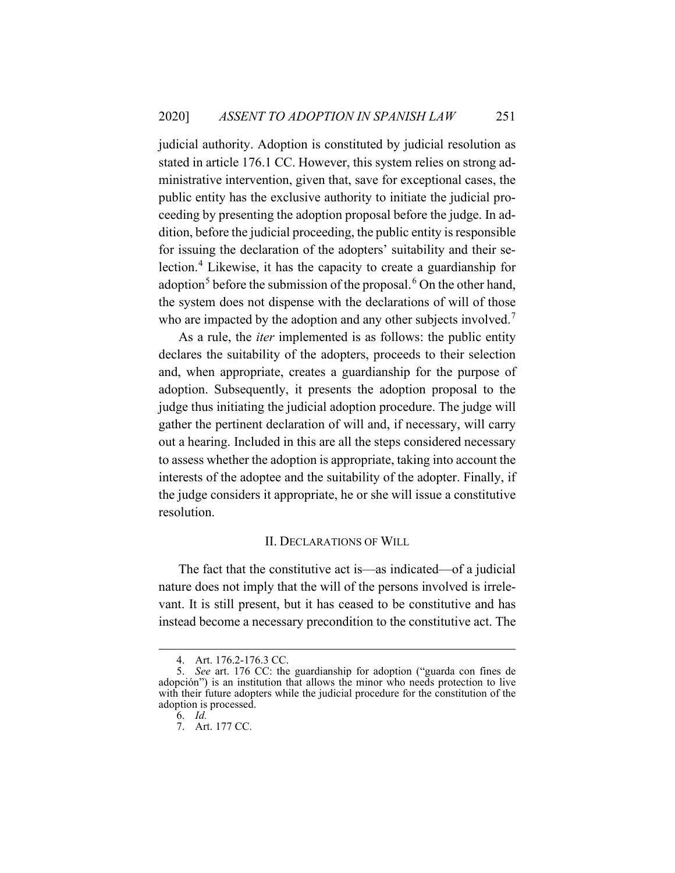judicial authority. Adoption is constituted by judicial resolution as stated in article 176.1 CC. However, this system relies on strong administrative intervention, given that, save for exceptional cases, the public entity has the exclusive authority to initiate the judicial proceeding by presenting the adoption proposal before the judge. In addition, before the judicial proceeding, the public entity is responsible for issuing the declaration of the adopters' suitability and their selection. [4](#page-3-1) Likewise, it has the capacity to create a guardianship for adoption<sup>[5](#page-3-2)</sup> before the submission of the proposal. <sup>[6](#page-3-3)</sup> On the other hand, the system does not dispense with the declarations of will of those who are impacted by the adoption and any other subjects involved.<sup>[7](#page-3-4)</sup>

As a rule, the *iter* implemented is as follows: the public entity declares the suitability of the adopters, proceeds to their selection and, when appropriate, creates a guardianship for the purpose of adoption. Subsequently, it presents the adoption proposal to the judge thus initiating the judicial adoption procedure. The judge will gather the pertinent declaration of will and, if necessary, will carry out a hearing. Included in this are all the steps considered necessary to assess whether the adoption is appropriate, taking into account the interests of the adoptee and the suitability of the adopter. Finally, if the judge considers it appropriate, he or she will issue a constitutive resolution.

#### II. DECLARATIONS OF WILL

<span id="page-3-0"></span>The fact that the constitutive act is—as indicated—of a judicial nature does not imply that the will of the persons involved is irrelevant. It is still present, but it has ceased to be constitutive and has instead become a necessary precondition to the constitutive act. The

<sup>4.</sup> Art. 176.2-176.3 CC.

<span id="page-3-4"></span><span id="page-3-3"></span><span id="page-3-2"></span><span id="page-3-1"></span><sup>5.</sup> *See* art. 176 CC: the guardianship for adoption ("guarda con fines de adopción") is an institution that allows the minor who needs protection to live with their future adopters while the judicial procedure for the constitution of the adoption is processed.

<sup>6.</sup> *Id.*

<sup>7.</sup> Art. 177 CC.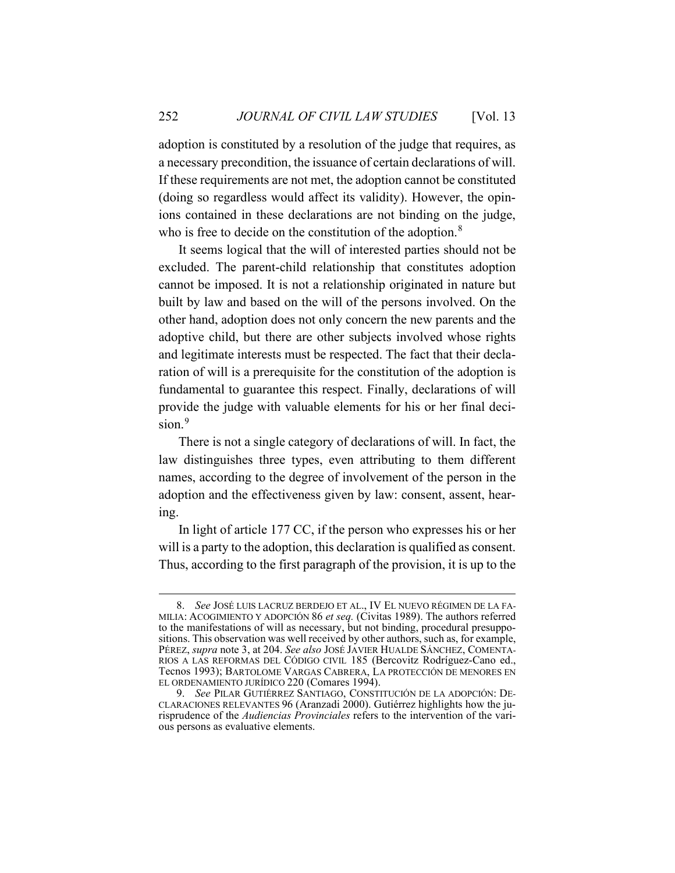adoption is constituted by a resolution of the judge that requires, as a necessary precondition, the issuance of certain declarations of will. If these requirements are not met, the adoption cannot be constituted (doing so regardless would affect its validity). However, the opinions contained in these declarations are not binding on the judge, who is free to decide on the constitution of the adoption.<sup>[8](#page-4-0)</sup>

<span id="page-4-2"></span>It seems logical that the will of interested parties should not be excluded. The parent-child relationship that constitutes adoption cannot be imposed. It is not a relationship originated in nature but built by law and based on the will of the persons involved. On the other hand, adoption does not only concern the new parents and the adoptive child, but there are other subjects involved whose rights and legitimate interests must be respected. The fact that their declaration of will is a prerequisite for the constitution of the adoption is fundamental to guarantee this respect. Finally, declarations of will provide the judge with valuable elements for his or her final decision. [9](#page-4-1)

<span id="page-4-3"></span>There is not a single category of declarations of will. In fact, the law distinguishes three types, even attributing to them different names, according to the degree of involvement of the person in the adoption and the effectiveness given by law: consent, assent, hearing.

In light of article 177 CC, if the person who expresses his or her will is a party to the adoption, this declaration is qualified as consent. Thus, according to the first paragraph of the provision, it is up to the

<span id="page-4-0"></span><sup>8.</sup> *See* JOSÉ LUIS LACRUZ BERDEJO ET AL., IV EL NUEVO RÉGIMEN DE LA FA-MILIA: ACOGIMIENTO Y ADOPCIÓN 86 *et seq.* (Civitas 1989). The authors referred to the manifestations of will as necessary, but not binding, procedural presuppositions. This observation was well received by other authors, such as, for example, PÉREZ, *supra* note [3,](#page-2-4) at 204. *See also* JOSÉ JAVIER HUALDE SÁNCHEZ, COMENTA-RIOS A LAS REFORMAS DEL CÓDIGO CIVIL 185 (Bercovitz Rodríguez-Cano ed., Tecnos 1993); BARTOLOME VARGAS CABRERA, LA PROTECCIÓN DE MENORES EN EL ORDENAMIENTO JURÍDICO 220 (Comares 1994).

<span id="page-4-1"></span><sup>9.</sup> *See* PILAR GUTIÉRREZ SANTIAGO, CONSTITUCIÓN DE LA ADOPCIÓN: DE-CLARACIONES RELEVANTES 96 (Aranzadi 2000). Gutiérrez highlights how the jurisprudence of the *Audiencias Provinciales* refers to the intervention of the various persons as evaluative elements.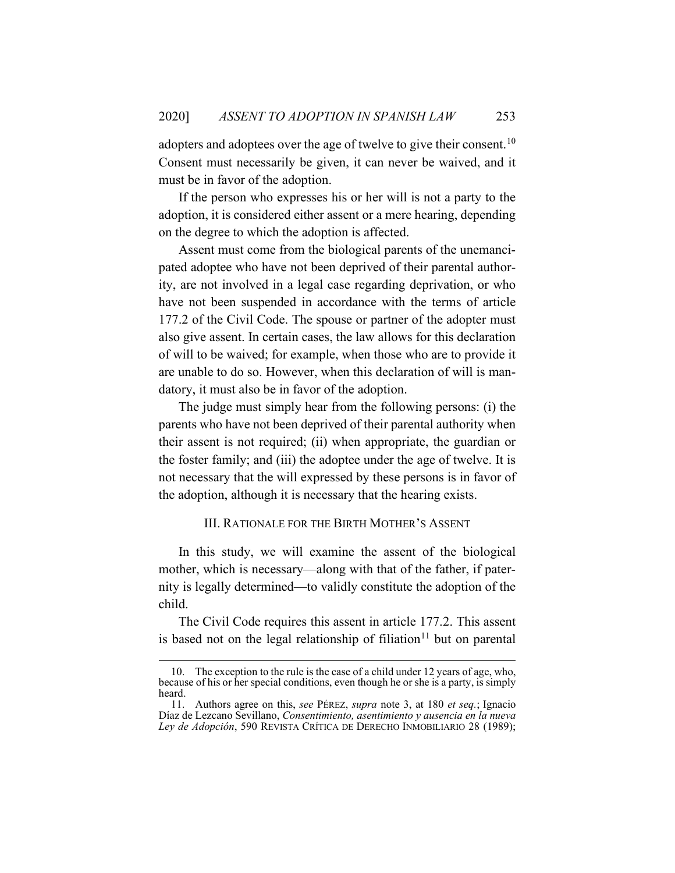adopters and adoptees over the age of twelve to give their consent.  $^{10}$  $^{10}$  $^{10}$ Consent must necessarily be given, it can never be waived, and it must be in favor of the adoption.

If the person who expresses his or her will is not a party to the adoption, it is considered either assent or a mere hearing, depending on the degree to which the adoption is affected.

Assent must come from the biological parents of the unemancipated adoptee who have not been deprived of their parental authority, are not involved in a legal case regarding deprivation, or who have not been suspended in accordance with the terms of article 177.2 of the Civil Code. The spouse or partner of the adopter must also give assent. In certain cases, the law allows for this declaration of will to be waived; for example, when those who are to provide it are unable to do so. However, when this declaration of will is mandatory, it must also be in favor of the adoption.

The judge must simply hear from the following persons: (i) the parents who have not been deprived of their parental authority when their assent is not required; (ii) when appropriate, the guardian or the foster family; and (iii) the adoptee under the age of twelve. It is not necessary that the will expressed by these persons is in favor of the adoption, although it is necessary that the hearing exists.

#### III. RATIONALE FOR THE BIRTH MOTHER'S ASSENT

<span id="page-5-0"></span>In this study, we will examine the assent of the biological mother, which is necessary—along with that of the father, if paternity is legally determined—to validly constitute the adoption of the child.

The Civil Code requires this assent in article 177.2. This assent is based not on the legal relationship of filiation<sup>[11](#page-5-2)</sup> but on parental

<span id="page-5-1"></span><sup>10.</sup> The exception to the rule is the case of a child under 12 years of age, who, because of his or her special conditions, even though he or she is a party, is simply heard.

<span id="page-5-2"></span><sup>11.</sup> Authors agree on this, *see* PÉREZ, *supra* note [3,](#page-2-4) at 180 *et seq.*; Ignacio Díaz de Lezcano Sevillano, *Consentimiento, asentimiento y ausencia en la nueva Ley de Adopción*, 590 REVISTA CRÍTICA DE DERECHO INMOBILIARIO 28 (1989);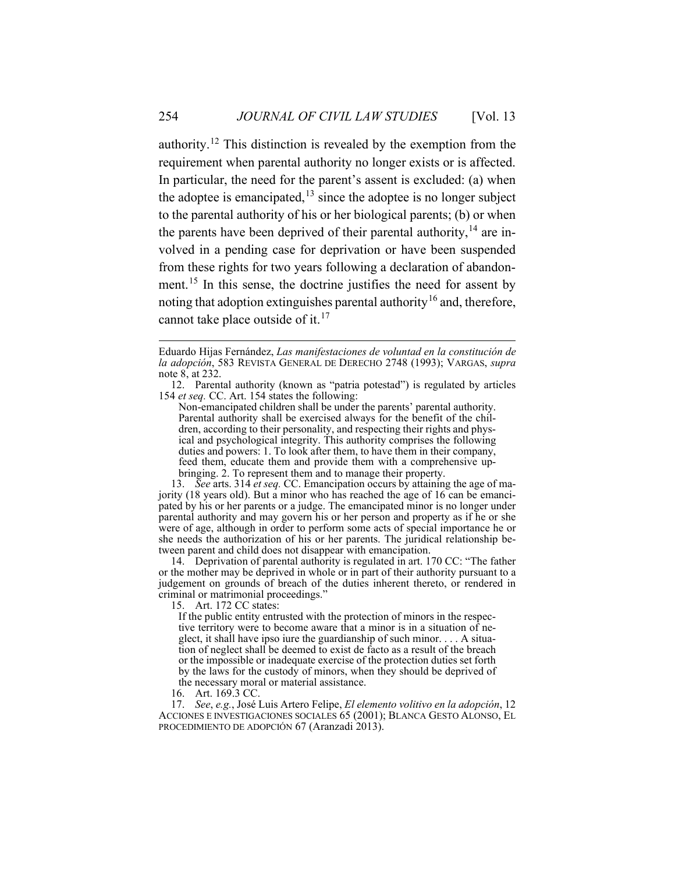authority.<sup>[12](#page-6-0)</sup> This distinction is revealed by the exemption from the requirement when parental authority no longer exists or is affected. In particular, the need for the parent's assent is excluded: (a) when the adoptee is emancipated,  $13$  since the adoptee is no longer subject to the parental authority of his or her biological parents; (b) or when the parents have been deprived of their parental authority,  $14$  are involved in a pending case for deprivation or have been suspended from these rights for two years following a declaration of abandon-ment.<sup>[15](#page-6-3)</sup> In this sense, the doctrine justifies the need for assent by noting that adoption extinguishes parental authority<sup>[16](#page-6-4)</sup> and, therefore, cannot take place outside of it.<sup>[17](#page-6-5)</sup>

<span id="page-6-0"></span>12. Parental authority (known as "patria potestad") is regulated by articles 154 *et seq.* CC. Art. 154 states the following:

Non-emancipated children shall be under the parents' parental authority. Parental authority shall be exercised always for the benefit of the children, according to their personality, and respecting their rights and physical and psychological integrity. This authority comprises the following duties and powers: 1. To look after them, to have them in their company, feed them, educate them and provide them with a comprehensive upbringing. 2. To represent them and to manage their property.

<span id="page-6-1"></span>13. *See* arts. 314 *et seq.* CC. Emancipation occurs by attaining the age of majority (18 years old). But a minor who has reached the age of 16 can be emancipated by his or her parents or a judge. The emancipated minor is no longer under parental authority and may govern his or her person and property as if he or she were of age, although in order to perform some acts of special importance he or she needs the authorization of his or her parents. The juridical relationship between parent and child does not disappear with emancipation.

<span id="page-6-3"></span><span id="page-6-2"></span>14. Deprivation of parental authority is regulated in art. 170 CC: "The father or the mother may be deprived in whole or in part of their authority pursuant to a judgement on grounds of breach of the duties inherent thereto, or rendered in criminal or matrimonial proceedings."

15. Art. 172 CC states:

16. Art. 169.3 CC.

<span id="page-6-5"></span><span id="page-6-4"></span>17. *See*, *e.g.*, José Luis Artero Felipe, *El elemento volitivo en la adopción*, 12 ACCIONES E INVESTIGACIONES SOCIALES 65 (2001); BLANCA GESTO ALONSO, EL PROCEDIMIENTO DE ADOPCIÓN 67 (Aranzadi 2013).

<span id="page-6-7"></span><span id="page-6-6"></span>Eduardo Hijas Fernández, *Las manifestaciones de voluntad en la constitución de la adopción*, 583 REVISTA GENERAL DE DERECHO 2748 (1993); VARGAS, *supra* not[e 8,](#page-4-2) at 232.

If the public entity entrusted with the protection of minors in the respective territory were to become aware that a minor is in a situation of neglect, it shall have ipso iure the guardianship of such minor.  $\dots$  A situation of neglect shall be deemed to exist de facto as a result of the breach or the impossible or inadequate exercise of the protection duties set forth by the laws for the custody of minors, when they should be deprived of the necessary moral or material assistance.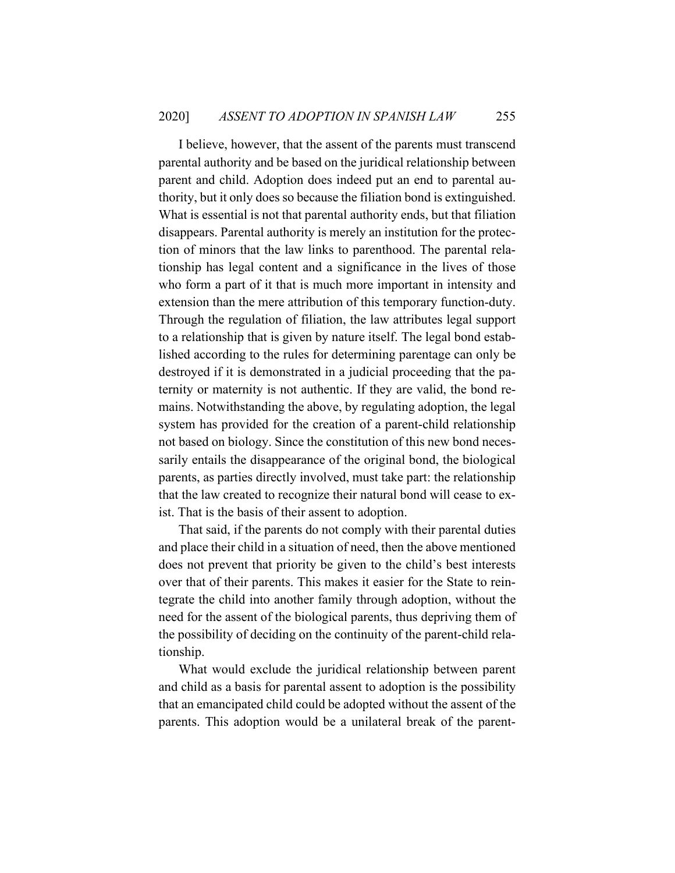I believe, however, that the assent of the parents must transcend parental authority and be based on the juridical relationship between parent and child. Adoption does indeed put an end to parental authority, but it only does so because the filiation bond is extinguished. What is essential is not that parental authority ends, but that filiation disappears. Parental authority is merely an institution for the protection of minors that the law links to parenthood. The parental relationship has legal content and a significance in the lives of those who form a part of it that is much more important in intensity and extension than the mere attribution of this temporary function-duty. Through the regulation of filiation, the law attributes legal support to a relationship that is given by nature itself. The legal bond established according to the rules for determining parentage can only be destroyed if it is demonstrated in a judicial proceeding that the paternity or maternity is not authentic. If they are valid, the bond remains. Notwithstanding the above, by regulating adoption, the legal system has provided for the creation of a parent-child relationship not based on biology. Since the constitution of this new bond necessarily entails the disappearance of the original bond, the biological parents, as parties directly involved, must take part: the relationship that the law created to recognize their natural bond will cease to exist. That is the basis of their assent to adoption.

That said, if the parents do not comply with their parental duties and place their child in a situation of need, then the above mentioned does not prevent that priority be given to the child's best interests over that of their parents. This makes it easier for the State to reintegrate the child into another family through adoption, without the need for the assent of the biological parents, thus depriving them of the possibility of deciding on the continuity of the parent-child relationship.

What would exclude the juridical relationship between parent and child as a basis for parental assent to adoption is the possibility that an emancipated child could be adopted without the assent of the parents. This adoption would be a unilateral break of the parent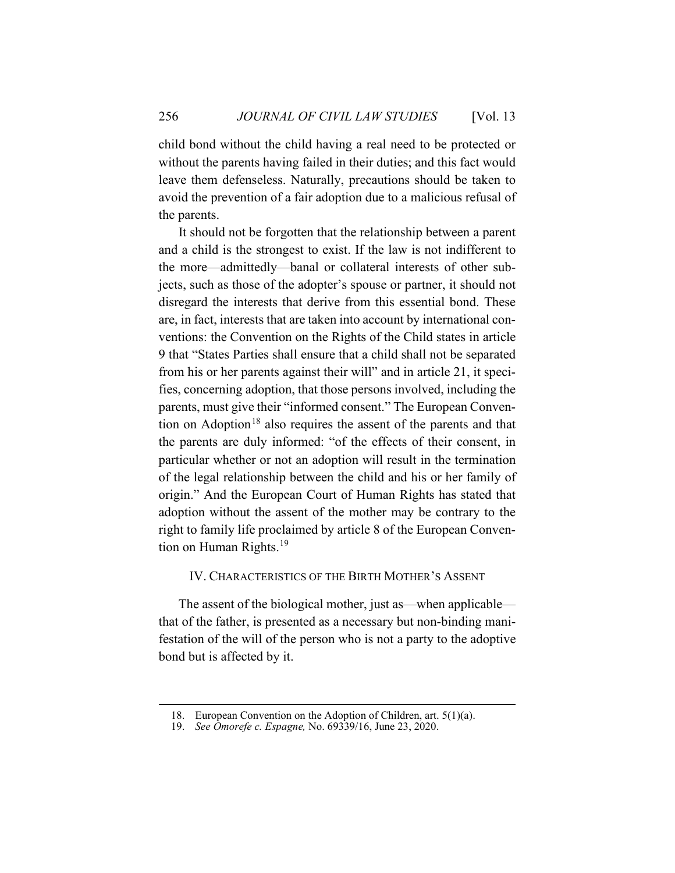child bond without the child having a real need to be protected or without the parents having failed in their duties; and this fact would leave them defenseless. Naturally, precautions should be taken to avoid the prevention of a fair adoption due to a malicious refusal of the parents.

It should not be forgotten that the relationship between a parent and a child is the strongest to exist. If the law is not indifferent to the more—admittedly—banal or collateral interests of other subjects, such as those of the adopter's spouse or partner, it should not disregard the interests that derive from this essential bond. These are, in fact, interests that are taken into account by international conventions: the Convention on the Rights of the Child states in article 9 that "States Parties shall ensure that a child shall not be separated from his or her parents against their will" and in article 21, it specifies, concerning adoption, that those persons involved, including the parents, must give their "informed consent." The European Conven-tion on Adoption<sup>[18](#page-8-1)</sup> also requires the assent of the parents and that the parents are duly informed: "of the effects of their consent, in particular whether or not an adoption will result in the termination of the legal relationship between the child and his or her family of origin." And the European Court of Human Rights has stated that adoption without the assent of the mother may be contrary to the right to family life proclaimed by article 8 of the European Conven-tion on Human Rights.<sup>[19](#page-8-2)</sup>

# <span id="page-8-0"></span>IV. CHARACTERISTICS OF THE BIRTH MOTHER'S ASSENT

The assent of the biological mother, just as—when applicable that of the father, is presented as a necessary but non-binding manifestation of the will of the person who is not a party to the adoptive bond but is affected by it.

<span id="page-8-1"></span><sup>18.</sup> European Convention on the Adoption of Children, art. 5(1)(a).

<span id="page-8-2"></span><sup>19.</sup> *See Omorefe c. Espagne,* No. 69339/16, June 23, 2020.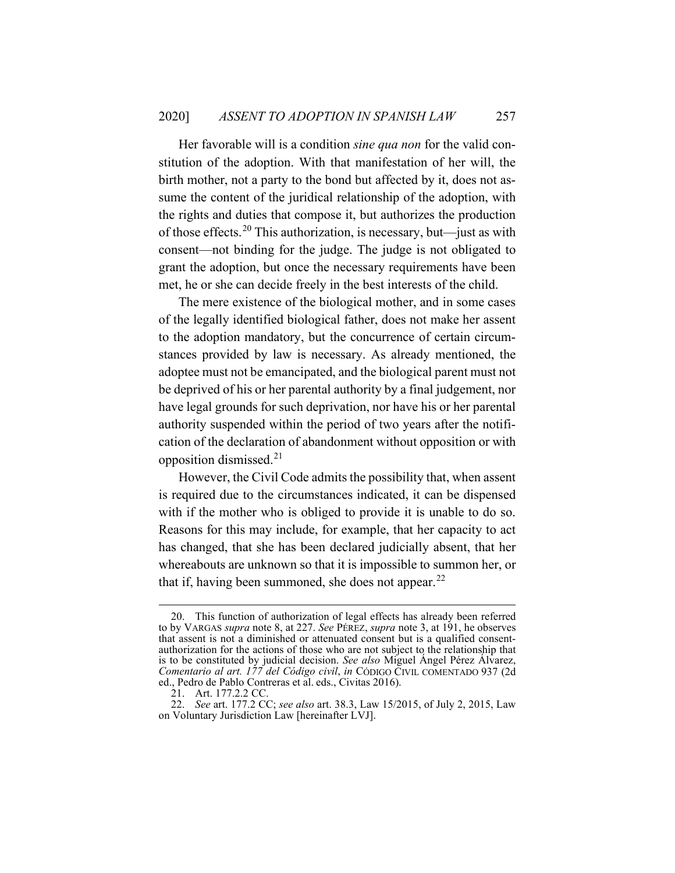Her favorable will is a condition *sine qua non* for the valid constitution of the adoption. With that manifestation of her will, the birth mother, not a party to the bond but affected by it, does not assume the content of the juridical relationship of the adoption, with the rights and duties that compose it, but authorizes the production of those effects. [20](#page-9-0) This authorization, is necessary, but—just as with consent—not binding for the judge. The judge is not obligated to grant the adoption, but once the necessary requirements have been met, he or she can decide freely in the best interests of the child.

The mere existence of the biological mother, and in some cases of the legally identified biological father, does not make her assent to the adoption mandatory, but the concurrence of certain circumstances provided by law is necessary. As already mentioned, the adoptee must not be emancipated, and the biological parent must not be deprived of his or her parental authority by a final judgement, nor have legal grounds for such deprivation, nor have his or her parental authority suspended within the period of two years after the notification of the declaration of abandonment without opposition or with opposition dismissed. [21](#page-9-1)

However, the Civil Code admits the possibility that, when assent is required due to the circumstances indicated, it can be dispensed with if the mother who is obliged to provide it is unable to do so. Reasons for this may include, for example, that her capacity to act has changed, that she has been declared judicially absent, that her whereabouts are unknown so that it is impossible to summon her, or that if, having been summoned, she does not appear.<sup>[22](#page-9-2)</sup>

<span id="page-9-0"></span><sup>20.</sup> This function of authorization of legal effects has already been referred to by VARGAS *supra* note [8,](#page-4-2) at 227. *See* PÉREZ, *supra* note [3,](#page-2-4) at 191, he observes that assent is not a diminished or attenuated consent but is a qualified consentauthorization for the actions of those who are not subject to the relationship that is to be constituted by judicial decision. *See also* Miguel Ángel Pérez Álvarez, *Comentario al art. 177 del Código civil*, *in* CÓDIGO CIVIL COMENTADO 937 (2d ed., Pedro de Pablo Contreras et al. eds., Civitas 2016).

<sup>21.</sup> Art. 177.2.2 CC.

<span id="page-9-2"></span><span id="page-9-1"></span><sup>22.</sup> *See* art. 177.2 CC; *see also* art. 38.3, Law 15/2015, of July 2, 2015, Law on Voluntary Jurisdiction Law [hereinafter LVJ].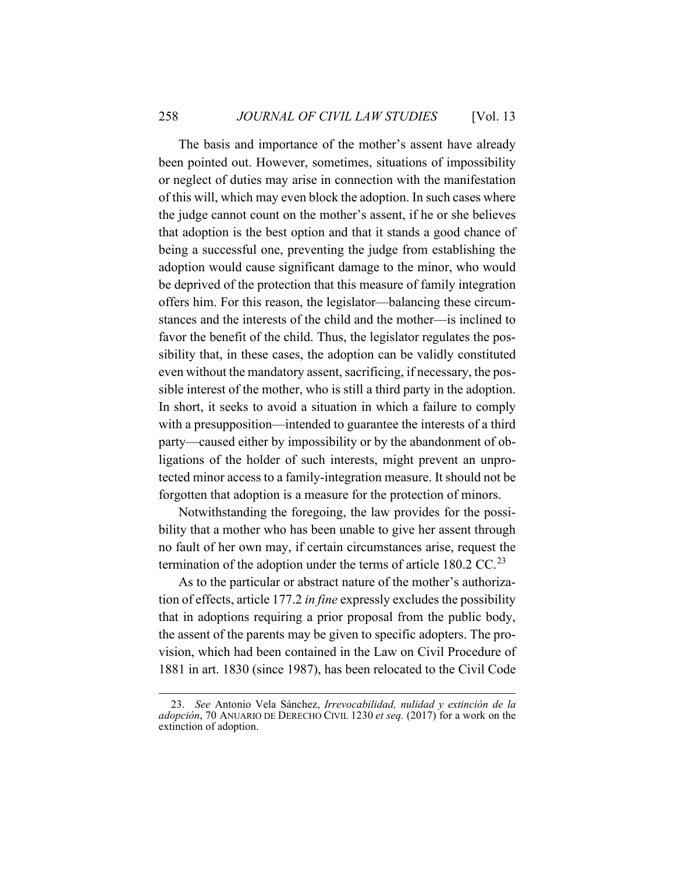The basis and importance of the mother's assent have already been pointed out. However, sometimes, situations of impossibility or neglect of duties may arise in connection with the manifestation of this will, which may even block the adoption. In such cases where the judge cannot count on the mother's assent, if he or she believes that adoption is the best option and that it stands a good chance of being a successful one, preventing the judge from establishing the adoption would cause significant damage to the minor, who would be deprived of the protection that this measure of family integration offers him. For this reason, the legislator—balancing these circumstances and the interests of the child and the mother—is inclined to favor the benefit of the child. Thus, the legislator regulates the possibility that, in these cases, the adoption can be validly constituted even without the mandatory assent, sacrificing, if necessary, the possible interest of the mother, who is still a third party in the adoption. In short, it seeks to avoid a situation in which a failure to comply with a presupposition—intended to guarantee the interests of a third party—caused either by impossibility or by the abandonment of obligations of the holder of such interests, might prevent an unprotected minor access to a family-integration measure. It should not be forgotten that adoption is a measure for the protection of minors.

Notwithstanding the foregoing, the law provides for the possibility that a mother who has been unable to give her assent through no fault of her own may, if certain circumstances arise, request the termination of the adoption under the terms of article  $180.2$  CC.<sup>[23](#page-10-0)</sup>

As to the particular or abstract nature of the mother's authorization of effects, article 177.2 *in fine* expressly excludes the possibility that in adoptions requiring a prior proposal from the public body, the assent of the parents may be given to specific adopters. The provision, which had been contained in the Law on Civil Procedure of 1881 in art. 1830 (since 1987), has been relocated to the Civil Code

<span id="page-10-0"></span><sup>23.</sup> *See* Antonio Vela Sánchez, *Irrevocabilidad, nulidad y extinción de la adopción*, 70 ANUARIO DE DERECHO CIVIL 1230 *et seq.* (2017) for a work on the extinction of adoption.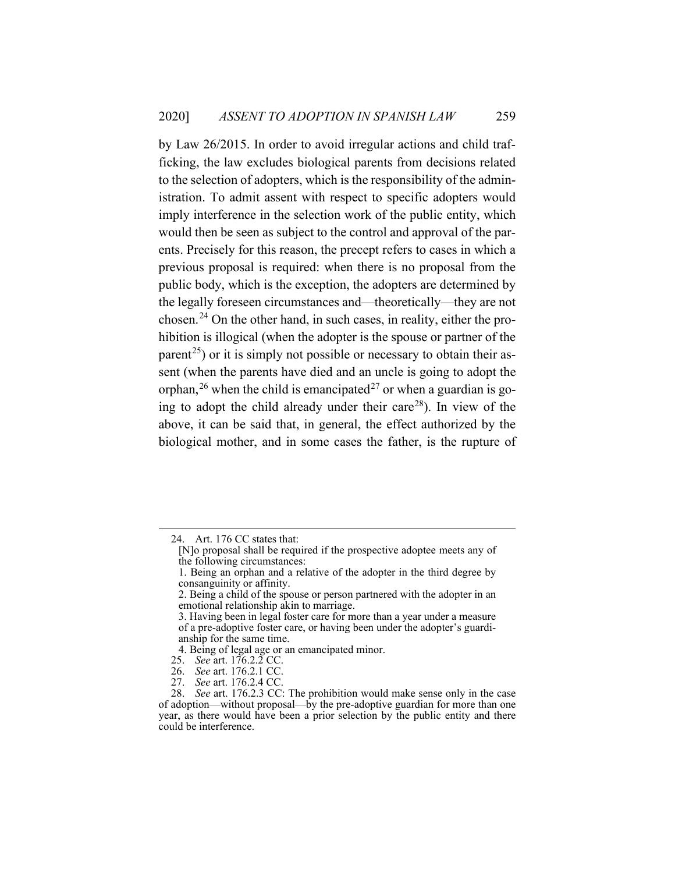by Law 26/2015. In order to avoid irregular actions and child trafficking, the law excludes biological parents from decisions related to the selection of adopters, which is the responsibility of the administration. To admit assent with respect to specific adopters would imply interference in the selection work of the public entity, which would then be seen as subject to the control and approval of the parents. Precisely for this reason, the precept refers to cases in which a previous proposal is required: when there is no proposal from the public body, which is the exception, the adopters are determined by the legally foreseen circumstances and—theoretically—they are not chosen. [24](#page-11-0) On the other hand, in such cases, in reality, either the prohibition is illogical (when the adopter is the spouse or partner of the parent<sup>25</sup>) or it is simply not possible or necessary to obtain their assent (when the parents have died and an uncle is going to adopt the orphan,<sup>[26](#page-11-2)</sup> when the child is emancipated<sup>[27](#page-11-3)</sup> or when a guardian is go-ing to adopt the child already under their care<sup>[28](#page-11-4)</sup>). In view of the above, it can be said that, in general, the effect authorized by the biological mother, and in some cases the father, is the rupture of

<span id="page-11-0"></span><sup>24.</sup> Art. 176 CC states that:

<sup>[</sup>N]o proposal shall be required if the prospective adoptee meets any of the following circumstances:

<sup>1.</sup> Being an orphan and a relative of the adopter in the third degree by consanguinity or affinity.

<sup>2.</sup> Being a child of the spouse or person partnered with the adopter in an emotional relationship akin to marriage.

<sup>3.</sup> Having been in legal foster care for more than a year under a measure of a pre-adoptive foster care, or having been under the adopter's guardianship for the same time.

<sup>4.</sup> Being of legal age or an emancipated minor.

<sup>25.</sup> *See* art. 176.2.2 CC.

<sup>26.</sup> *See* art. 176.2.1 CC.

<sup>27.</sup> *See* art. 176.2.4 CC.

<span id="page-11-4"></span><span id="page-11-3"></span><span id="page-11-2"></span><span id="page-11-1"></span><sup>28.</sup> *See* art. 176.2.3 CC: The prohibition would make sense only in the case of adoption—without proposal—by the pre-adoptive guardian for more than one year, as there would have been a prior selection by the public entity and there could be interference.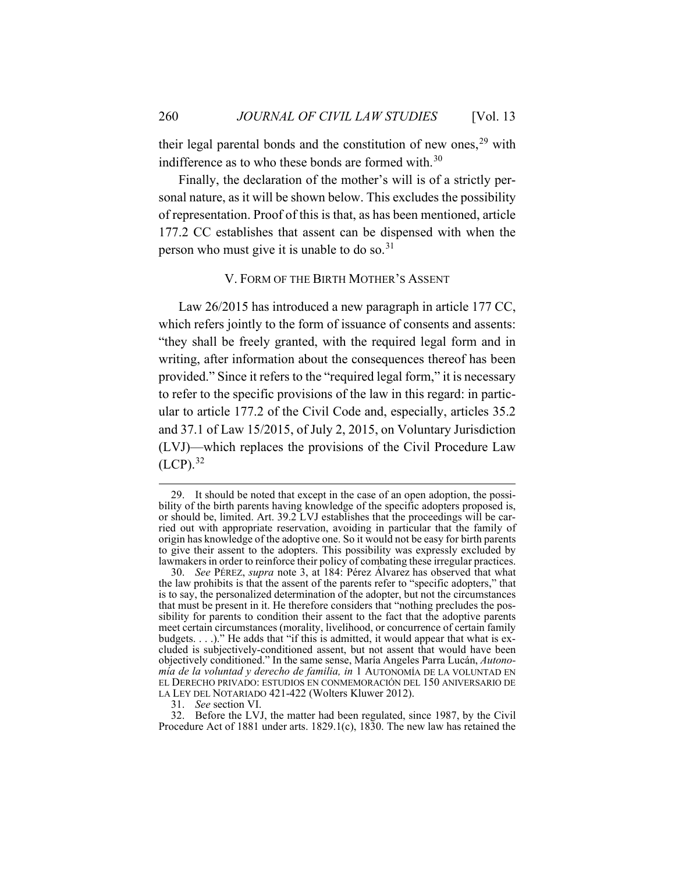their legal parental bonds and the constitution of new ones,  $29$  with indifference as to who these bonds are formed with. $30$ 

Finally, the declaration of the mother's will is of a strictly personal nature, as it will be shown below. This excludes the possibility of representation. Proof of this is that, as has been mentioned, article 177.2 CC establishes that assent can be dispensed with when the person who must give it is unable to do so.<sup>[31](#page-12-3)</sup>

# <span id="page-12-5"></span>V. FORM OF THE BIRTH MOTHER'S ASSENT

<span id="page-12-0"></span>Law 26/2015 has introduced a new paragraph in article 177 CC, which refers jointly to the form of issuance of consents and assents: "they shall be freely granted, with the required legal form and in writing, after information about the consequences thereof has been provided." Since it refers to the "required legal form," it is necessary to refer to the specific provisions of the law in this regard: in particular to article 177.2 of the Civil Code and, especially, articles 35.2 and 37.1 of Law 15/2015, of July 2, 2015, on Voluntary Jurisdiction (LVJ)—which replaces the provisions of the Civil Procedure Law  $(LCP).$ <sup>[32](#page-12-4)</sup>

<span id="page-12-1"></span><sup>29.</sup> It should be noted that except in the case of an open adoption, the possibility of the birth parents having knowledge of the specific adopters proposed is, or should be, limited. Art. 39.2 LVJ establishes that the proceedings will be carried out with appropriate reservation, avoiding in particular that the family of origin has knowledge of the adoptive one. So it would not be easy for birth parents to give their assent to the adopters. This possibility was expressly excluded by lawmakers in order to reinforce their policy of combating these irregular practices.

<span id="page-12-2"></span><sup>30.</sup> *See* PÉREZ, *supra* note [3,](#page-2-4) at 184: Pérez Álvarez has observed that what the law prohibits is that the assent of the parents refer to "specific adopters," that is to say, the personalized determination of the adopter, but not the circumstances that must be present in it. He therefore considers that "nothing precludes the possibility for parents to condition their assent to the fact that the adoptive parents meet certain circumstances (morality, livelihood, or concurrence of certain family budgets. . . .)." He adds that "if this is admitted, it would appear that what is excluded is subjectively-conditioned assent, but not assent that would have been objectively conditioned." In the same sense, María Angeles Parra Lucán, *Autonomía de la voluntad y derecho de familia, in* 1 AUTONOMÍA DE LA VOLUNTAD EN EL DERECHO PRIVADO: ESTUDIOS EN CONMEMORACIÓN DEL 150 ANIVERSARIO DE LA LEY DEL NOTARIADO 421-422 (Wolters Kluwer 2012).

<sup>31.</sup> *See* section VI.

<span id="page-12-4"></span><span id="page-12-3"></span><sup>32.</sup> Before the LVJ, the matter had been regulated, since 1987, by the Civil Procedure Act of 1881 under arts. 1829.1(c), 1830. The new law has retained the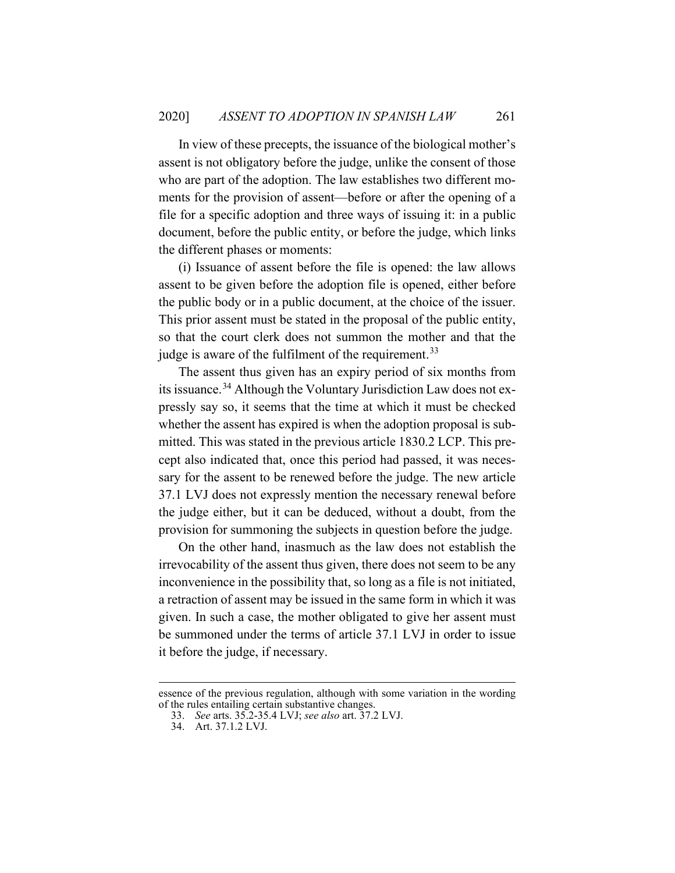In view of these precepts, the issuance of the biological mother's assent is not obligatory before the judge, unlike the consent of those who are part of the adoption. The law establishes two different moments for the provision of assent—before or after the opening of a file for a specific adoption and three ways of issuing it: in a public document, before the public entity, or before the judge, which links the different phases or moments:

(i) Issuance of assent before the file is opened: the law allows assent to be given before the adoption file is opened, either before the public body or in a public document, at the choice of the issuer. This prior assent must be stated in the proposal of the public entity, so that the court clerk does not summon the mother and that the judge is aware of the fulfilment of the requirement.<sup>[33](#page-13-0)</sup>

The assent thus given has an expiry period of six months from its issuance.[34](#page-13-1) Although the Voluntary Jurisdiction Law does not expressly say so, it seems that the time at which it must be checked whether the assent has expired is when the adoption proposal is submitted. This was stated in the previous article 1830.2 LCP. This precept also indicated that, once this period had passed, it was necessary for the assent to be renewed before the judge. The new article 37.1 LVJ does not expressly mention the necessary renewal before the judge either, but it can be deduced, without a doubt, from the provision for summoning the subjects in question before the judge.

On the other hand, inasmuch as the law does not establish the irrevocability of the assent thus given, there does not seem to be any inconvenience in the possibility that, so long as a file is not initiated, a retraction of assent may be issued in the same form in which it was given. In such a case, the mother obligated to give her assent must be summoned under the terms of article 37.1 LVJ in order to issue it before the judge, if necessary.

<span id="page-13-1"></span><span id="page-13-0"></span>essence of the previous regulation, although with some variation in the wording of the rules entailing certain substantive changes.

<sup>33.</sup> *See* arts. 35.2-35.4 LVJ; *see also* art. 37.2 LVJ.

<sup>34.</sup> Art. 37.1.2 LVJ.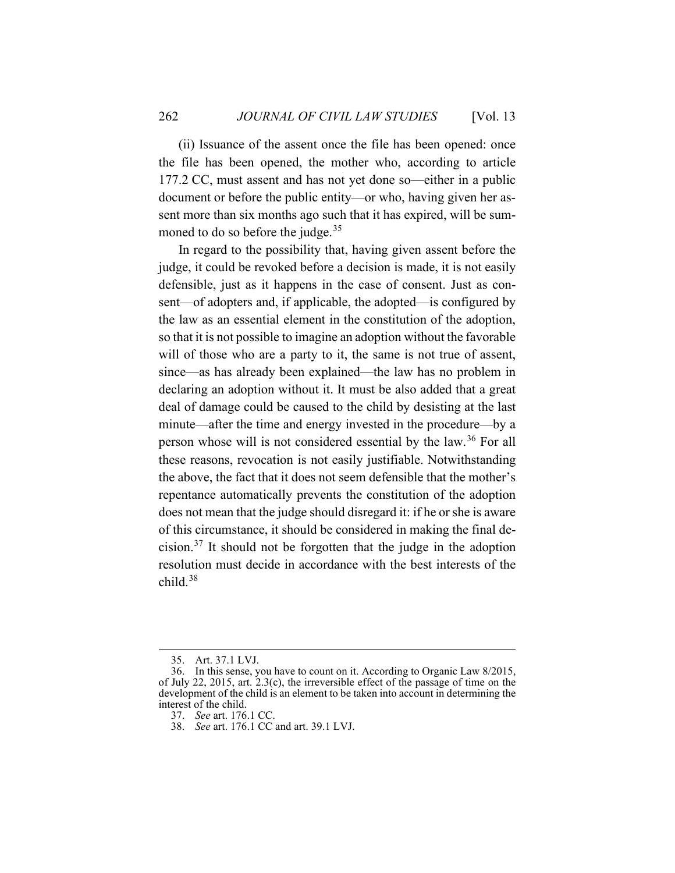(ii) Issuance of the assent once the file has been opened: once the file has been opened, the mother who, according to article 177.2 CC, must assent and has not yet done so—either in a public document or before the public entity—or who, having given her assent more than six months ago such that it has expired, will be sum-moned to do so before the judge.<sup>[35](#page-14-0)</sup>

In regard to the possibility that, having given assent before the judge, it could be revoked before a decision is made, it is not easily defensible, just as it happens in the case of consent. Just as consent—of adopters and, if applicable, the adopted—is configured by the law as an essential element in the constitution of the adoption, so that it is not possible to imagine an adoption without the favorable will of those who are a party to it, the same is not true of assent, since—as has already been explained—the law has no problem in declaring an adoption without it. It must be also added that a great deal of damage could be caused to the child by desisting at the last minute—after the time and energy invested in the procedure—by a person whose will is not considered essential by the law.<sup>[36](#page-14-1)</sup> For all these reasons, revocation is not easily justifiable. Notwithstanding the above, the fact that it does not seem defensible that the mother's repentance automatically prevents the constitution of the adoption does not mean that the judge should disregard it: if he or she is aware of this circumstance, it should be considered in making the final de-cision.<sup>[37](#page-14-2)</sup> It should not be forgotten that the judge in the adoption resolution must decide in accordance with the best interests of the child. [38](#page-14-3)

<sup>35.</sup> Art. 37.1 LVJ.

<span id="page-14-3"></span><span id="page-14-2"></span><span id="page-14-1"></span><span id="page-14-0"></span><sup>36.</sup> In this sense, you have to count on it. According to Organic Law 8/2015, of July 22, 2015, art. 2.3(c), the irreversible effect of the passage of time on the development of the child is an element to be taken into account in determining the interest of the child.

<sup>37.</sup> *See* art. 176.1 CC.

<sup>38.</sup> *See* art. 176.1 CC and art. 39.1 LVJ.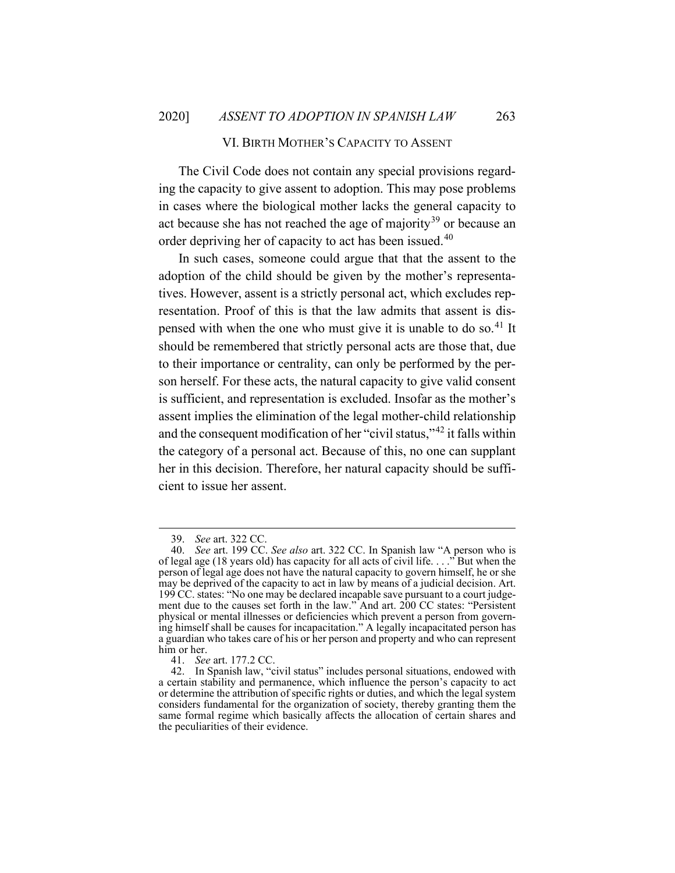### VI. BIRTH MOTHER'S CAPACITY TO ASSENT

<span id="page-15-0"></span>The Civil Code does not contain any special provisions regarding the capacity to give assent to adoption. This may pose problems in cases where the biological mother lacks the general capacity to act because she has not reached the age of majority<sup>[39](#page-15-1)</sup> or because an order depriving her of capacity to act has been issued.<sup>[40](#page-15-2)</sup>

In such cases, someone could argue that that the assent to the adoption of the child should be given by the mother's representatives. However, assent is a strictly personal act, which excludes representation. Proof of this is that the law admits that assent is dis-pensed with when the one who must give it is unable to do so.<sup>[41](#page-15-3)</sup> It should be remembered that strictly personal acts are those that, due to their importance or centrality, can only be performed by the person herself. For these acts, the natural capacity to give valid consent is sufficient, and representation is excluded. Insofar as the mother's assent implies the elimination of the legal mother-child relationship and the consequent modification of her "civil status,"[42](#page-15-4) it falls within the category of a personal act. Because of this, no one can supplant her in this decision. Therefore, her natural capacity should be sufficient to issue her assent.

<sup>39.</sup> *See* art. 322 CC.

<span id="page-15-2"></span><span id="page-15-1"></span><sup>40.</sup> *See* art. 199 CC. *See also* art. 322 CC. In Spanish law "A person who is of legal age (18 years old) has capacity for all acts of civil life. . . ." But when the person of legal age does not have the natural capacity to govern himself, he or she may be deprived of the capacity to act in law by means of a judicial decision. Art. 199 CC. states: "No one may be declared incapable save pursuant to a court judgement due to the causes set forth in the law." And art. 200 CC states: "Persistent physical or mental illnesses or deficiencies which prevent a person from governing himself shall be causes for incapacitation." A legally incapacitated person has a guardian who takes care of his or her person and property and who can represent him or her.

<sup>41.</sup> *See* art. 177.2 CC.

<span id="page-15-4"></span><span id="page-15-3"></span><sup>42.</sup> In Spanish law, "civil status" includes personal situations, endowed with a certain stability and permanence, which influence the person's capacity to act or determine the attribution of specific rights or duties, and which the legal system considers fundamental for the organization of society, thereby granting them the same formal regime which basically affects the allocation of certain shares and the peculiarities of their evidence.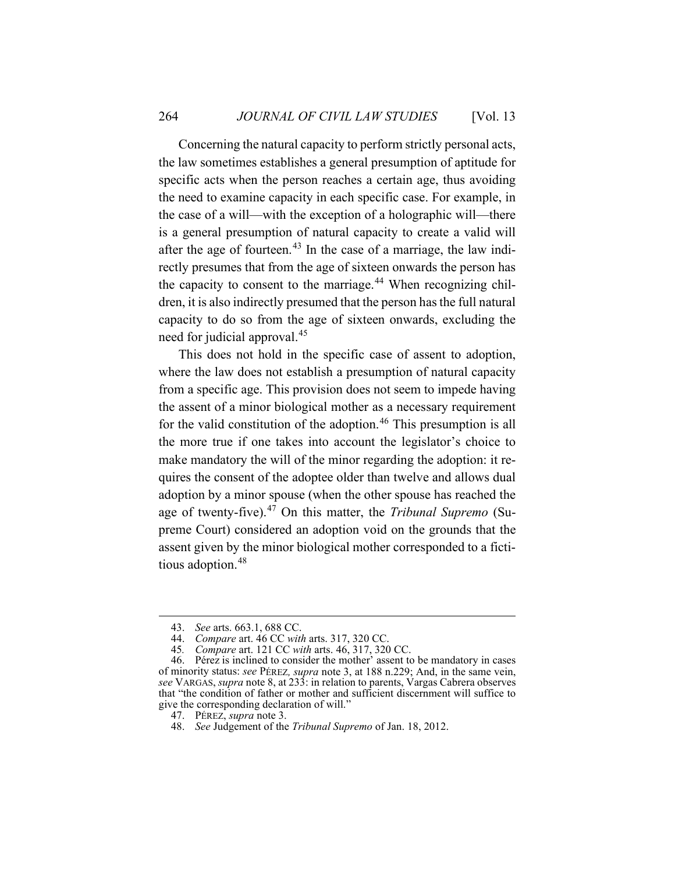Concerning the natural capacity to perform strictly personal acts, the law sometimes establishes a general presumption of aptitude for specific acts when the person reaches a certain age, thus avoiding the need to examine capacity in each specific case. For example, in the case of a will—with the exception of a holographic will—there is a general presumption of natural capacity to create a valid will after the age of fourteen.<sup>[43](#page-16-0)</sup> In the case of a marriage, the law indirectly presumes that from the age of sixteen onwards the person has the capacity to consent to the marriage.<sup>[44](#page-16-1)</sup> When recognizing children, it is also indirectly presumed that the person has the full natural capacity to do so from the age of sixteen onwards, excluding the need for judicial approval. [45](#page-16-2)

This does not hold in the specific case of assent to adoption, where the law does not establish a presumption of natural capacity from a specific age. This provision does not seem to impede having the assent of a minor biological mother as a necessary requirement for the valid constitution of the adoption.<sup>[46](#page-16-3)</sup> This presumption is all the more true if one takes into account the legislator's choice to make mandatory the will of the minor regarding the adoption: it requires the consent of the adoptee older than twelve and allows dual adoption by a minor spouse (when the other spouse has reached the age of twenty-five). [47](#page-16-4) On this matter, the *Tribunal Supremo* (Supreme Court) considered an adoption void on the grounds that the assent given by the minor biological mother corresponded to a fictitious adoption. [48](#page-16-5)

<sup>43.</sup> *See* arts. 663.1, 688 CC.

<sup>44.</sup> *Compare* art. 46 CC *with* arts. 317, 320 CC.

<sup>45</sup>*. Compare* art. 121 CC *with* arts. 46, 317, 320 CC.

<span id="page-16-4"></span><span id="page-16-3"></span><span id="page-16-2"></span><span id="page-16-1"></span><span id="page-16-0"></span><sup>46.</sup> Pérez is inclined to consider the mother' assent to be mandatory in cases of minority status: *see* PÉREZ*, supra* note [3,](#page-2-4) at 188 n.229; And, in the same vein, *see* VARGAS, *supra* not[e 8,](#page-4-2) at 233: in relation to parents, Vargas Cabrera observes that "the condition of father or mother and sufficient discernment will suffice to give the corresponding declaration of will."

<sup>47.</sup> PÉREZ, *supra* not[e 3.](#page-2-4)

<span id="page-16-5"></span><sup>48.</sup> *See* Judgement of the *Tribunal Supremo* of Jan. 18, 2012.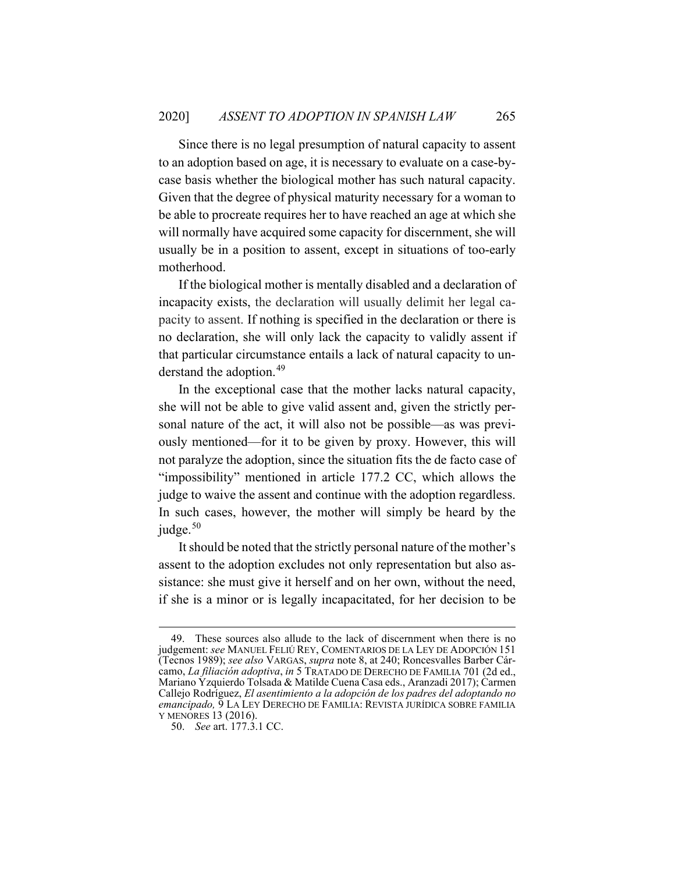Since there is no legal presumption of natural capacity to assent to an adoption based on age, it is necessary to evaluate on a case-bycase basis whether the biological mother has such natural capacity. Given that the degree of physical maturity necessary for a woman to be able to procreate requires her to have reached an age at which she will normally have acquired some capacity for discernment, she will usually be in a position to assent, except in situations of too-early motherhood.

If the biological mother is mentally disabled and a declaration of incapacity exists, the declaration will usually delimit her legal capacity to assent. If nothing is specified in the declaration or there is no declaration, she will only lack the capacity to validly assent if that particular circumstance entails a lack of natural capacity to understand the adoption. [49](#page-17-0)

<span id="page-17-2"></span>In the exceptional case that the mother lacks natural capacity, she will not be able to give valid assent and, given the strictly personal nature of the act, it will also not be possible—as was previously mentioned—for it to be given by proxy. However, this will not paralyze the adoption, since the situation fits the de facto case of "impossibility" mentioned in article 177.2 CC, which allows the judge to waive the assent and continue with the adoption regardless. In such cases, however, the mother will simply be heard by the judge. [50](#page-17-1)

It should be noted that the strictly personal nature of the mother's assent to the adoption excludes not only representation but also assistance: she must give it herself and on her own, without the need, if she is a minor or is legally incapacitated, for her decision to be

<span id="page-17-0"></span><sup>49.</sup> These sources also allude to the lack of discernment when there is no judgement: *see* MANUEL FELIÚ REY, COMENTARIOS DE LA LEY DE ADOPCIÓN 151 (Tecnos 1989); *see also* VARGAS, *supra* not[e 8,](#page-4-2) at 240; Roncesvalles Barber Cárcamo, *La filiación adoptiva*, *in* 5 TRATADO DE DERECHO DE FAMILIA 701 (2d ed., Mariano Yzquierdo Tolsada & Matilde Cuena Casa eds., Aranzadi 2017); Carmen Callejo Rodríguez, *El asentimiento a la adopción de los padres del adoptando no emancipado,* 9 LA LEY DERECHO DE FAMILIA: REVISTA JURÍDICA SOBRE FAMILIA Y MENORES 13 (2016).

<span id="page-17-1"></span><sup>50.</sup> *See* art. 177.3.1 CC.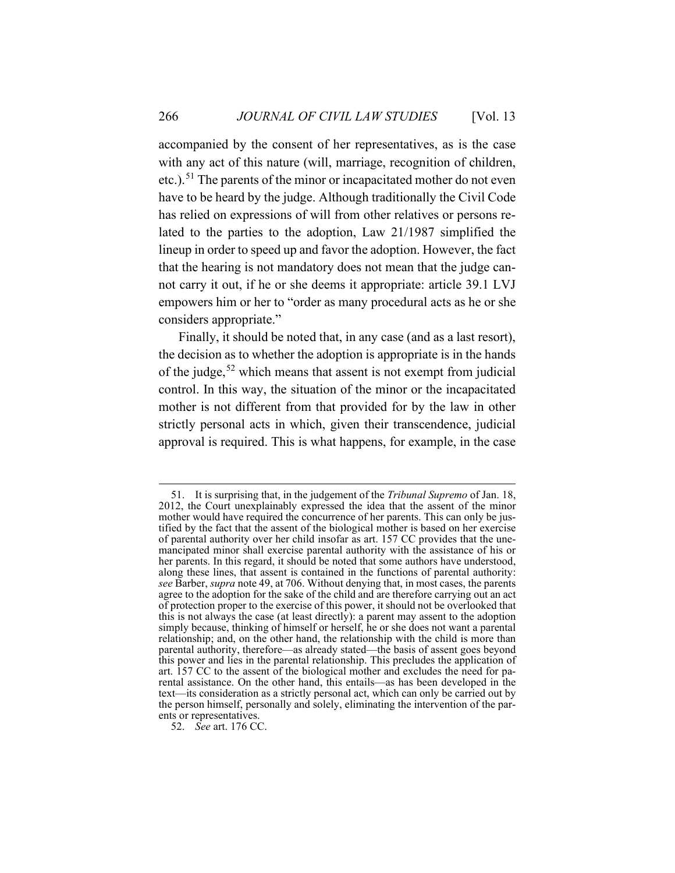accompanied by the consent of her representatives, as is the case with any act of this nature (will, marriage, recognition of children, etc.).<sup>[51](#page-18-0)</sup> The parents of the minor or incapacitated mother do not even have to be heard by the judge. Although traditionally the Civil Code has relied on expressions of will from other relatives or persons related to the parties to the adoption, Law 21/1987 simplified the lineup in order to speed up and favor the adoption. However, the fact that the hearing is not mandatory does not mean that the judge cannot carry it out, if he or she deems it appropriate: article 39.1 LVJ empowers him or her to "order as many procedural acts as he or she considers appropriate."

Finally, it should be noted that, in any case (and as a last resort), the decision as to whether the adoption is appropriate is in the hands of the judge,<sup>[52](#page-18-1)</sup> which means that assent is not exempt from judicial control. In this way, the situation of the minor or the incapacitated mother is not different from that provided for by the law in other strictly personal acts in which, given their transcendence, judicial approval is required. This is what happens, for example, in the case

<span id="page-18-0"></span><sup>51.</sup> It is surprising that, in the judgement of the *Tribunal Supremo* of Jan. 18, 2012, the Court unexplainably expressed the idea that the assent of the minor mother would have required the concurrence of her parents. This can only be justified by the fact that the assent of the biological mother is based on her exercise of parental authority over her child insofar as art. 157 CC provides that the unemancipated minor shall exercise parental authority with the assistance of his or her parents. In this regard, it should be noted that some authors have understood, along these lines, that assent is contained in the functions of parental authority: *see* Barber, *supra* not[e 49,](#page-17-2) at 706. Without denying that, in most cases, the parents agree to the adoption for the sake of the child and are therefore carrying out an act of protection proper to the exercise of this power, it should not be overlooked that this is not always the case (at least directly): a parent may assent to the adoption simply because, thinking of himself or herself, he or she does not want a parental relationship; and, on the other hand, the relationship with the child is more than parental authority, therefore—as already stated—the basis of assent goes beyond this power and lies in the parental relationship. This precludes the application of art. 157 CC to the assent of the biological mother and excludes the need for parental assistance. On the other hand, this entails—as has been developed in the text—its consideration as a strictly personal act, which can only be carried out by the person himself, personally and solely, eliminating the intervention of the parents or representatives.

<span id="page-18-1"></span><sup>52.</sup> *See* art. 176 CC.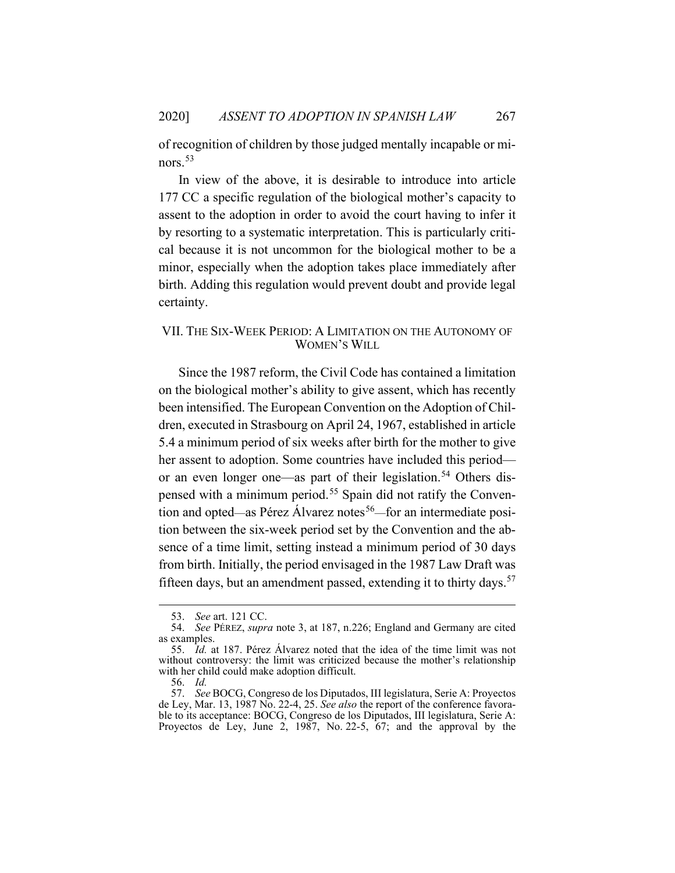of recognition of children by those judged mentally incapable or minors. [53](#page-19-1)

In view of the above, it is desirable to introduce into article 177 CC a specific regulation of the biological mother's capacity to assent to the adoption in order to avoid the court having to infer it by resorting to a systematic interpretation. This is particularly critical because it is not uncommon for the biological mother to be a minor, especially when the adoption takes place immediately after birth. Adding this regulation would prevent doubt and provide legal certainty.

## <span id="page-19-0"></span>VII. THE SIX-WEEK PERIOD: A LIMITATION ON THE AUTONOMY OF WOMEN'S WILL

Since the 1987 reform, the Civil Code has contained a limitation on the biological mother's ability to give assent, which has recently been intensified. The European Convention on the Adoption of Children, executed in Strasbourg on April 24, 1967, established in article 5.4 a minimum period of six weeks after birth for the mother to give her assent to adoption. Some countries have included this period or an even longer one—as part of their legislation. [54](#page-19-2) Others dispensed with a minimum period. [55](#page-19-3) Spain did not ratify the Convention and opted—as Pérez Álvarez notes<sup>56</sup>—for an intermediate position between the six-week period set by the Convention and the absence of a time limit, setting instead a minimum period of 30 days from birth. Initially, the period envisaged in the 1987 Law Draft was fifteen days, but an amendment passed, extending it to thirty days.<sup>[57](#page-19-5)</sup>

<sup>53.</sup> *See* art. 121 CC.

<span id="page-19-2"></span><span id="page-19-1"></span><sup>54.</sup> *See* PÉREZ, *supra* note [3,](#page-2-4) at 187, n.226; England and Germany are cited as examples.

<span id="page-19-3"></span><sup>55.</sup> *Id.* at 187. Pérez Álvarez noted that the idea of the time limit was not without controversy: the limit was criticized because the mother's relationship with her child could make adoption difficult.

<sup>56.</sup> *Id.*

<span id="page-19-5"></span><span id="page-19-4"></span><sup>57.</sup> *See* BOCG, Congreso de los Diputados, III legislatura, Serie A: Proyectos de Ley, Mar. 13, 1987 No. 22-4, 25. *See also* the report of the conference favorable to its acceptance: BOCG, Congreso de los Diputados, III legislatura, Serie A: Proyectos de Ley, June 2, 1987, No. 22-5, 67; and the approval by the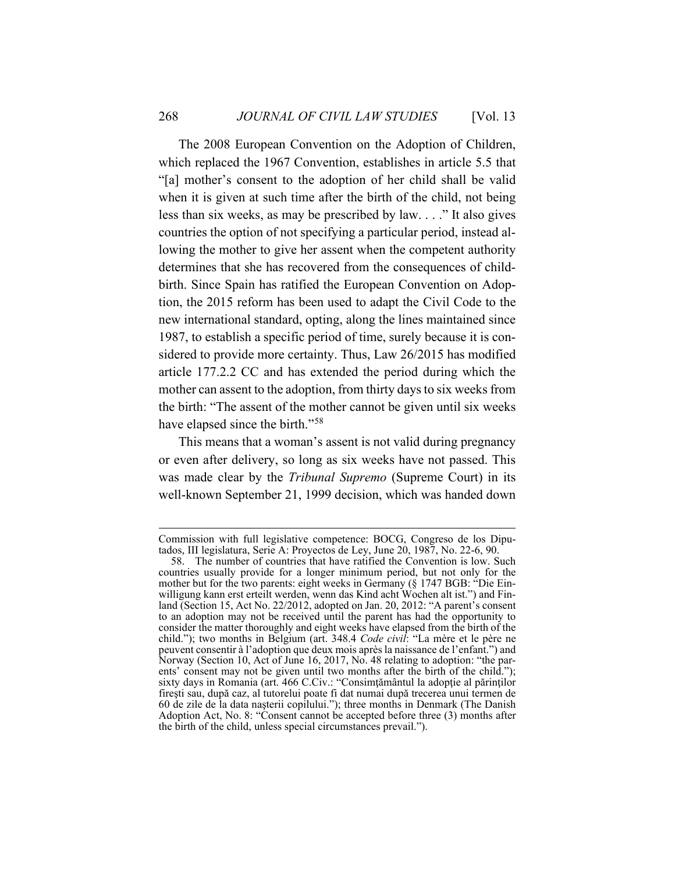The 2008 European Convention on the Adoption of Children, which replaced the 1967 Convention, establishes in article 5.5 that "[a] mother's consent to the adoption of her child shall be valid when it is given at such time after the birth of the child, not being less than six weeks, as may be prescribed by law. . . ." It also gives countries the option of not specifying a particular period, instead allowing the mother to give her assent when the competent authority determines that she has recovered from the consequences of childbirth. Since Spain has ratified the European Convention on Adoption, the 2015 reform has been used to adapt the Civil Code to the new international standard, opting, along the lines maintained since 1987, to establish a specific period of time, surely because it is considered to provide more certainty. Thus, Law 26/2015 has modified article 177.2.2 CC and has extended the period during which the mother can assent to the adoption, from thirty days to six weeks from the birth: "The assent of the mother cannot be given until six weeks have elapsed since the birth."<sup>[58](#page-20-0)</sup>

This means that a woman's assent is not valid during pregnancy or even after delivery, so long as six weeks have not passed. This was made clear by the *Tribunal Supremo* (Supreme Court) in its well-known September 21, 1999 decision, which was handed down

Commission with full legislative competence: BOCG, Congreso de los Diputados, III legislatura, Serie A: Proyectos de Ley, June 20, 1987, No. 22-6, 90.

<span id="page-20-0"></span><sup>58.</sup> The number of countries that have ratified the Convention is low. Such countries usually provide for a longer minimum period, but not only for the mother but for the two parents: eight weeks in Germany (§ 1747 BGB: "Die Einwilligung kann erst erteilt werden, wenn das Kind acht Wochen alt ist.") and Finland (Section 15, Act No. 22/2012, adopted on Jan. 20, 2012: "A parent's consent to an adoption may not be received until the parent has had the opportunity to consider the matter thoroughly and eight weeks have elapsed from the birth of the child."); two months in Belgium (art. 348.4 *Code civil*: "La mère et le père ne peuvent consentir à l'adoption que deux mois après la naissance de l'enfant.") and Norway (Section 10, Act of June 16, 2017, No. 48 relating to adoption: "the parents' consent may not be given until two months after the birth of the child."); sixty days in Romania (art. 466 C.Civ.: "Consimțământul la adopție al părinților fireşti sau, după caz, al tutorelui poate fi dat numai după trecerea unui termen de 60 de zile de la data naşterii copilului."); three months in Denmark (The Danish Adoption Act, No. 8: "Consent cannot be accepted before three (3) months after the birth of the child, unless special circumstances prevail.").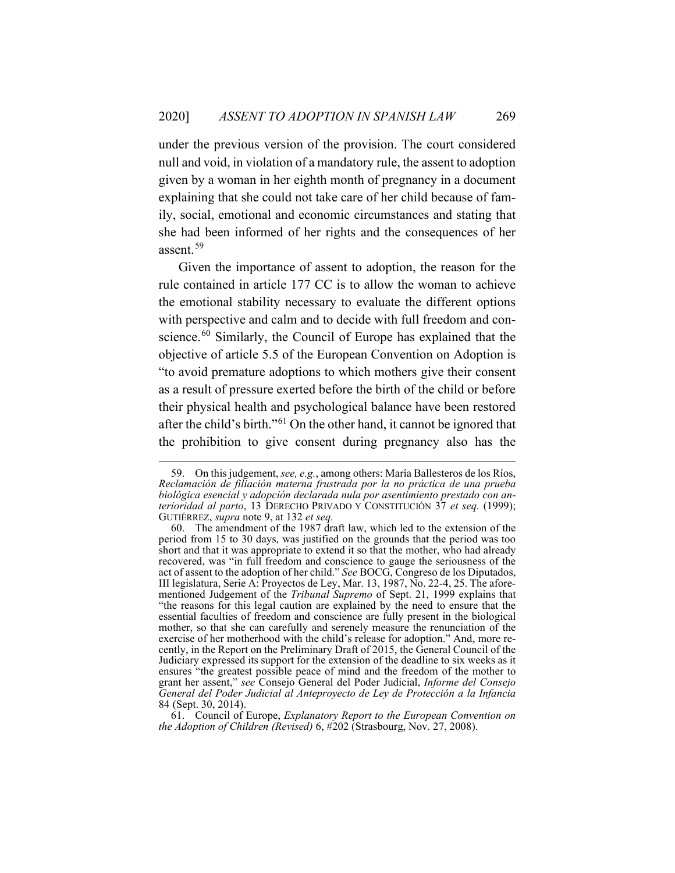under the previous version of the provision. The court considered null and void, in violation of a mandatory rule, the assent to adoption given by a woman in her eighth month of pregnancy in a document explaining that she could not take care of her child because of family, social, emotional and economic circumstances and stating that she had been informed of her rights and the consequences of her assent.[59](#page-21-0)

Given the importance of assent to adoption, the reason for the rule contained in article 177 CC is to allow the woman to achieve the emotional stability necessary to evaluate the different options with perspective and calm and to decide with full freedom and con-science.<sup>[60](#page-21-1)</sup> Similarly, the Council of Europe has explained that the objective of article 5.5 of the European Convention on Adoption is "to avoid premature adoptions to which mothers give their consent as a result of pressure exerted before the birth of the child or before their physical health and psychological balance have been restored after the child's birth."[61](#page-21-2) On the other hand, it cannot be ignored that the prohibition to give consent during pregnancy also has the

<span id="page-21-0"></span><sup>59.</sup> On this judgement, *see, e.g.*, among others: María Ballesteros de los Ríos, *Reclamación de filiación materna frustrada por la no práctica de una prueba biológica esencial y adopción declarada nula por asentimiento prestado con anterioridad al parto*, 13 DERECHO PRIVADO Y CONSTITUCIÓN 37 *et seq.* (1999); GUTIÉRREZ, *supra* note [9,](#page-4-3) at 132 *et seq.*

<span id="page-21-1"></span><sup>60.</sup> The amendment of the 1987 draft law, which led to the extension of the period from 15 to 30 days, was justified on the grounds that the period was too short and that it was appropriate to extend it so that the mother, who had already recovered, was "in full freedom and conscience to gauge the seriousness of the act of assent to the adoption of her child." *See* BOCG, Congreso de los Diputados, III legislatura, Serie A: Proyectos de Ley, Mar. 13, 1987, No. 22-4, 25. The aforementioned Judgement of the *Tribunal Supremo* of Sept. 21, 1999 explains that "the reasons for this legal caution are explained by the need to ensure that the essential faculties of freedom and conscience are fully present in the biological mother, so that she can carefully and serenely measure the renunciation of the exercise of her motherhood with the child's release for adoption." And, more recently, in the Report on the Preliminary Draft of 2015, the General Council of the Judiciary expressed its support for the extension of the deadline to six weeks as it ensures "the greatest possible peace of mind and the freedom of the mother to grant her assent," *see* Consejo General del Poder Judicial, *Informe del Consejo General del Poder Judicial al Anteproyecto de Ley de Protección a la Infancia*  84 (Sept. 30, 2014).

<span id="page-21-2"></span><sup>61.</sup> Council of Europe, *Explanatory Report to the European Convention on the Adoption of Children (Revised)* 6, #202 (Strasbourg, Nov. 27, 2008).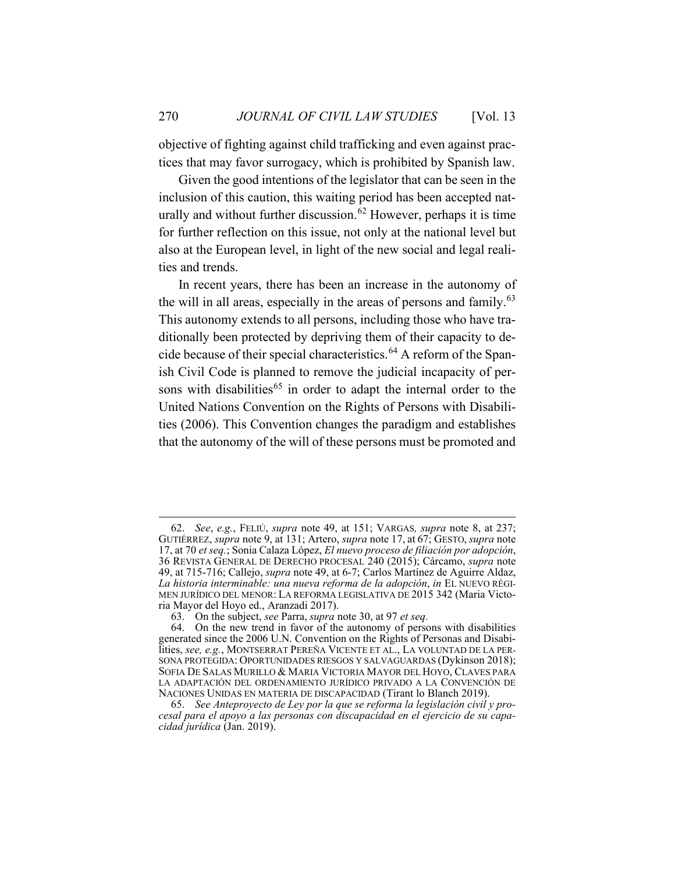objective of fighting against child trafficking and even against practices that may favor surrogacy, which is prohibited by Spanish law.

Given the good intentions of the legislator that can be seen in the inclusion of this caution, this waiting period has been accepted nat-urally and without further discussion.<sup>[62](#page-22-0)</sup> However, perhaps it is time for further reflection on this issue, not only at the national level but also at the European level, in light of the new social and legal realities and trends.

In recent years, there has been an increase in the autonomy of the will in all areas, especially in the areas of persons and family.<sup>[63](#page-22-1)</sup> This autonomy extends to all persons, including those who have traditionally been protected by depriving them of their capacity to decide because of their special characteristics. [64](#page-22-2) A reform of the Spanish Civil Code is planned to remove the judicial incapacity of per-sons with disabilities<sup>[65](#page-22-3)</sup> in order to adapt the internal order to the United Nations Convention on the Rights of Persons with Disabilities (2006). This Convention changes the paradigm and establishes that the autonomy of the will of these persons must be promoted and

<span id="page-22-0"></span><sup>62.</sup> *See*, *e.g.*, FELIÚ, *supra* note [49,](#page-17-2) at 151; VARGAS*, supra* note [8,](#page-4-2) at 237; GUTIÉRREZ, *supra* not[e 9,](#page-4-3) at 131; Artero, *supra* note [17,](#page-6-6) at 67; GESTO, *supra* note [17,](#page-6-7) at 70 *et seq.*; Sonia Calaza López, *El nuevo proceso de filiación por adopción*, 36 REVISTA GENERAL DE DERECHO PROCESAL 240 (2015); Cárcamo, *supra* note [49,](#page-17-2) at 715-716; Callejo, *supra* note [49,](#page-17-2) at 6-7; Carlos Martínez de Aguirre Aldaz, *La historia interminable: una nueva reforma de la adopción*, *in* EL NUEVO RÉGI-MEN JURÍDICO DEL MENOR: LA REFORMA LEGISLATIVA DE 2015 342 (Maria Victoria Mayor del Hoyo ed., Aranzadi 2017).

<sup>63.</sup> On the subject, *see* Parra, *supra* not[e 30,](#page-12-5) at 97 *et seq.*

<span id="page-22-2"></span><span id="page-22-1"></span><sup>64.</sup> On the new trend in favor of the autonomy of persons with disabilities generated since the 2006 U.N. Convention on the Rights of Personas and Disabilities, *see, e.g.*, MONTSERRAT PEREÑA VICENTE ET AL., LA VOLUNTAD DE LA PER-SONA PROTEGIDA: OPORTUNIDADES RIESGOS Y SALVAGUARDAS (Dykinson 2018); SOFIA DE SALAS MURILLO & MARIA VICTORIA MAYOR DEL HOYO, CLAVES PARA LA ADAPTACIÓN DEL ORDENAMIENTO JURÍDICO PRIVADO A LA CONVENCIÓN DE NACIONES UNIDAS EN MATERIA DE DISCAPACIDAD (Tirant lo Blanch 2019).

<span id="page-22-3"></span><sup>65.</sup> *See Anteproyecto de Ley por la que se reforma la legislación civil y procesal para el apoyo a las personas con discapacidad en el ejercicio de su capacidad jurídica* (Jan. 2019).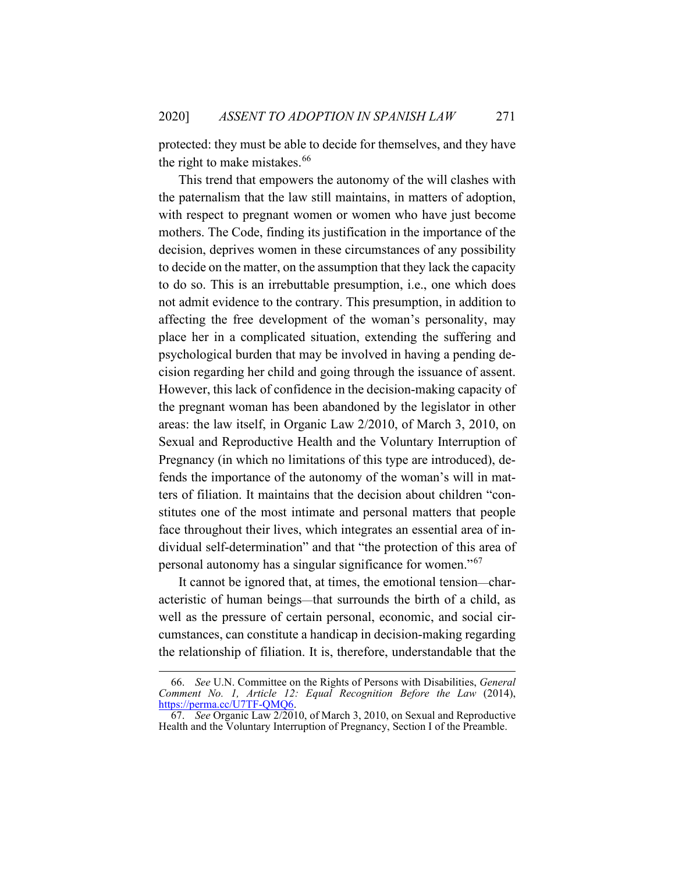protected: they must be able to decide for themselves, and they have the right to make mistakes. [66](#page-23-0)

This trend that empowers the autonomy of the will clashes with the paternalism that the law still maintains, in matters of adoption, with respect to pregnant women or women who have just become mothers. The Code, finding its justification in the importance of the decision, deprives women in these circumstances of any possibility to decide on the matter, on the assumption that they lack the capacity to do so. This is an irrebuttable presumption, i.e., one which does not admit evidence to the contrary. This presumption, in addition to affecting the free development of the woman's personality, may place her in a complicated situation, extending the suffering and psychological burden that may be involved in having a pending decision regarding her child and going through the issuance of assent. However, this lack of confidence in the decision-making capacity of the pregnant woman has been abandoned by the legislator in other areas: the law itself, in Organic Law 2/2010, of March 3, 2010, on Sexual and Reproductive Health and the Voluntary Interruption of Pregnancy (in which no limitations of this type are introduced), defends the importance of the autonomy of the woman's will in matters of filiation. It maintains that the decision about children "constitutes one of the most intimate and personal matters that people face throughout their lives, which integrates an essential area of individual self-determination" and that "the protection of this area of personal autonomy has a singular significance for women."[67](#page-23-1)

It cannot be ignored that, at times, the emotional tension—characteristic of human beings—that surrounds the birth of a child, as well as the pressure of certain personal, economic, and social circumstances, can constitute a handicap in decision-making regarding the relationship of filiation. It is, therefore, understandable that the

<span id="page-23-0"></span><sup>66.</sup> *See* U.N. Committee on the Rights of Persons with Disabilities, *General Comment No. 1, Article 12: Equal Recognition Before the Law* (2014), [https://perma.cc/U7TF-QMQ6.](https://perma.cc/U7TF-QMQ6)

<span id="page-23-1"></span><sup>67.</sup> *See* Organic Law 2/2010, of March 3, 2010, on Sexual and Reproductive Health and the Voluntary Interruption of Pregnancy, Section I of the Preamble.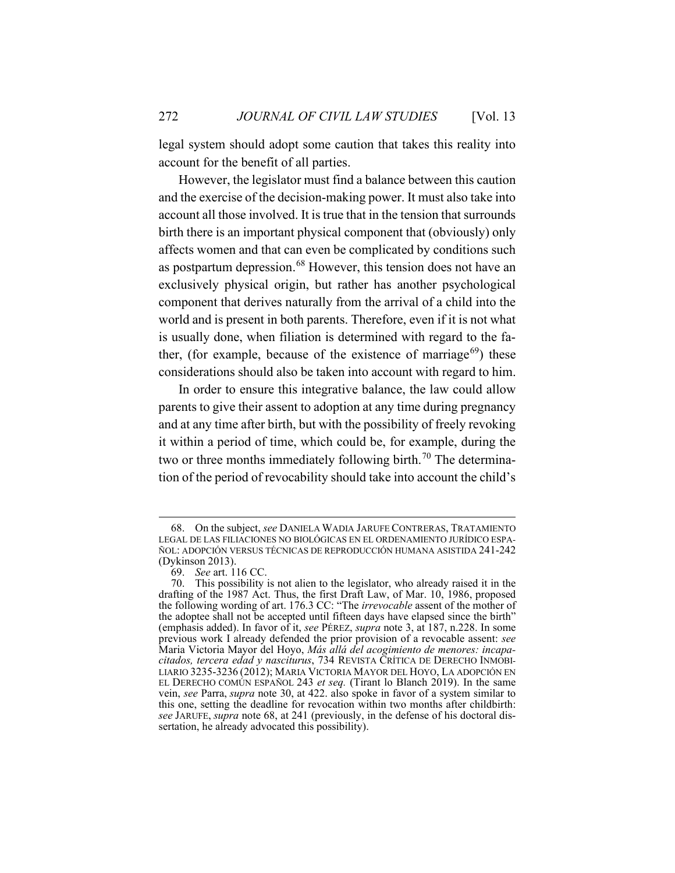legal system should adopt some caution that takes this reality into account for the benefit of all parties.

<span id="page-24-0"></span>However, the legislator must find a balance between this caution and the exercise of the decision-making power. It must also take into account all those involved. It is true that in the tension that surrounds birth there is an important physical component that (obviously) only affects women and that can even be complicated by conditions such as postpartum depression.<sup>[68](#page-24-1)</sup> However, this tension does not have an exclusively physical origin, but rather has another psychological component that derives naturally from the arrival of a child into the world and is present in both parents. Therefore, even if it is not what is usually done, when filiation is determined with regard to the father, (for example, because of the existence of marriage<sup>69</sup>) these considerations should also be taken into account with regard to him.

In order to ensure this integrative balance, the law could allow parents to give their assent to adoption at any time during pregnancy and at any time after birth, but with the possibility of freely revoking it within a period of time, which could be, for example, during the two or three months immediately following birth.<sup>[70](#page-24-3)</sup> The determination of the period of revocability should take into account the child's

<span id="page-24-1"></span><sup>68.</sup> On the subject, *see* DANIELA WADIA JARUFE CONTRERAS, TRATAMIENTO LEGAL DE LAS FILIACIONES NO BIOLÓGICAS EN EL ORDENAMIENTO JURÍDICO ESPA-ÑOL: ADOPCIÓN VERSUS TÉCNICAS DE REPRODUCCIÓN HUMANA ASISTIDA 241-242 (Dykinson 2013).

<sup>69.</sup> *See* art. 116 CC.

<span id="page-24-3"></span><span id="page-24-2"></span><sup>70.</sup> This possibility is not alien to the legislator, who already raised it in the drafting of the 1987 Act. Thus, the first Draft Law, of Mar. 10, 1986, proposed the following wording of art. 176.3 CC: "The *irrevocable* assent of the mother of the adoptee shall not be accepted until fifteen days have elapsed since the birth" (emphasis added). In favor of it, *see* PÉREZ, *supra* note [3,](#page-2-5) at 187, n.228. In some previous work I already defended the prior provision of a revocable assent: *see* Maria Victoria Mayor del Hoyo, *Más allá del acogimiento de menores: incapacitados, tercera edad y nasciturus*, 734 REVISTA CRÍTICA DE DERECHO INMOBI-LIARIO 3235-3236 (2012); MARIA VICTORIA MAYOR DEL HOYO, LA ADOPCIÓN EN EL DERECHO COMÚN ESPAÑOL 243 *et seq.* (Tirant lo Blanch 2019). In the same vein, *see* Parra, *supra* note [30,](#page-12-5) at 422. also spoke in favor of a system similar to this one, setting the deadline for revocation within two months after childbirth: *see* JARUFE, *supra* note [68,](#page-24-0) at 241 (previously, in the defense of his doctoral dissertation, he already advocated this possibility).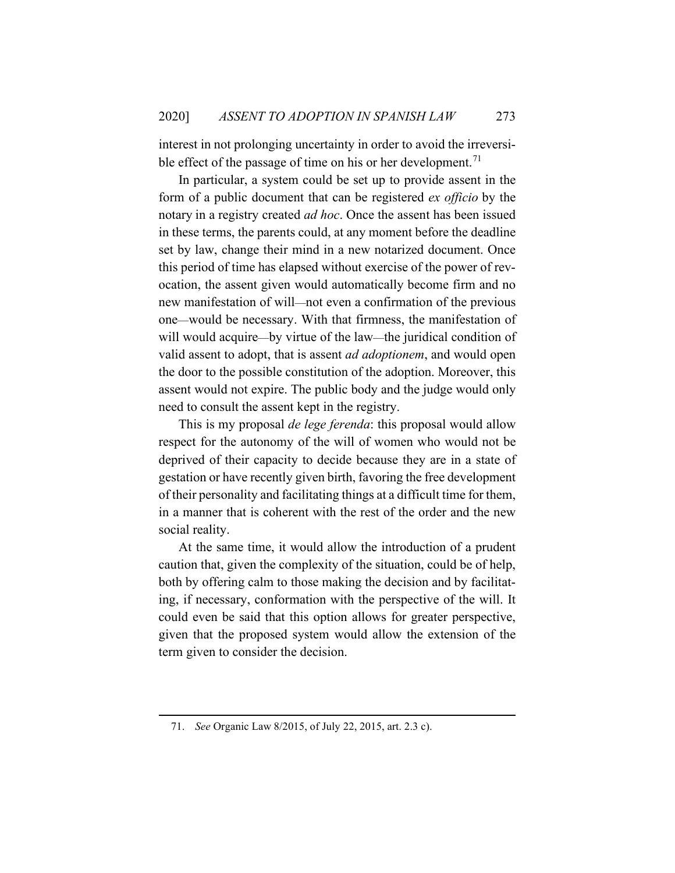interest in not prolonging uncertainty in order to avoid the irreversi-ble effect of the passage of time on his or her development.<sup>[71](#page-25-0)</sup>

In particular, a system could be set up to provide assent in the form of a public document that can be registered *ex officio* by the notary in a registry created *ad hoc*. Once the assent has been issued in these terms, the parents could, at any moment before the deadline set by law, change their mind in a new notarized document. Once this period of time has elapsed without exercise of the power of revocation, the assent given would automatically become firm and no new manifestation of will—not even a confirmation of the previous one—would be necessary. With that firmness, the manifestation of will would acquire—by virtue of the law—the juridical condition of valid assent to adopt, that is assent *ad adoptionem*, and would open the door to the possible constitution of the adoption. Moreover, this assent would not expire. The public body and the judge would only need to consult the assent kept in the registry.

This is my proposal *de lege ferenda*: this proposal would allow respect for the autonomy of the will of women who would not be deprived of their capacity to decide because they are in a state of gestation or have recently given birth, favoring the free development of their personality and facilitating things at a difficult time for them, in a manner that is coherent with the rest of the order and the new social reality.

At the same time, it would allow the introduction of a prudent caution that, given the complexity of the situation, could be of help, both by offering calm to those making the decision and by facilitating, if necessary, conformation with the perspective of the will. It could even be said that this option allows for greater perspective, given that the proposed system would allow the extension of the term given to consider the decision.

<span id="page-25-0"></span><sup>71.</sup> *See* Organic Law 8/2015, of July 22, 2015, art. 2.3 c).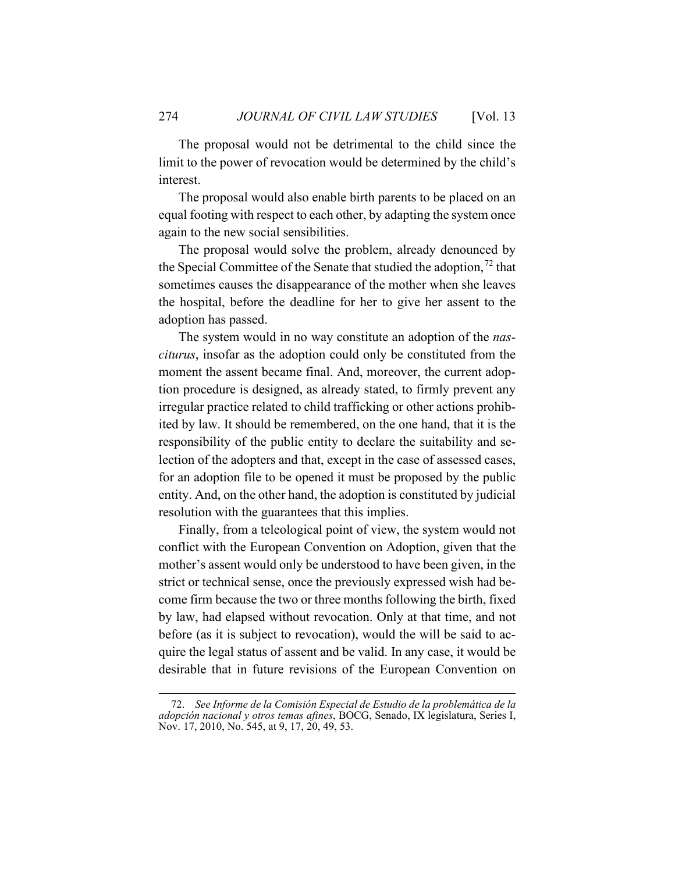The proposal would not be detrimental to the child since the limit to the power of revocation would be determined by the child's interest.

The proposal would also enable birth parents to be placed on an equal footing with respect to each other, by adapting the system once again to the new social sensibilities.

The proposal would solve the problem, already denounced by the Special Committee of the Senate that studied the adoption,  $72$  that sometimes causes the disappearance of the mother when she leaves the hospital, before the deadline for her to give her assent to the adoption has passed.

The system would in no way constitute an adoption of the *nasciturus*, insofar as the adoption could only be constituted from the moment the assent became final. And, moreover, the current adoption procedure is designed, as already stated, to firmly prevent any irregular practice related to child trafficking or other actions prohibited by law. It should be remembered, on the one hand, that it is the responsibility of the public entity to declare the suitability and selection of the adopters and that, except in the case of assessed cases, for an adoption file to be opened it must be proposed by the public entity. And, on the other hand, the adoption is constituted by judicial resolution with the guarantees that this implies.

Finally, from a teleological point of view, the system would not conflict with the European Convention on Adoption, given that the mother's assent would only be understood to have been given, in the strict or technical sense, once the previously expressed wish had become firm because the two or three months following the birth, fixed by law, had elapsed without revocation. Only at that time, and not before (as it is subject to revocation), would the will be said to acquire the legal status of assent and be valid. In any case, it would be desirable that in future revisions of the European Convention on

<span id="page-26-0"></span><sup>72.</sup> *See Informe de la Comisión Especial de Estudio de la problemática de la adopción nacional y otros temas afines*, BOCG, Senado, IX legislatura, Series I, Nov. 17, 2010, No. 545, at 9, 17, 20, 49, 53.